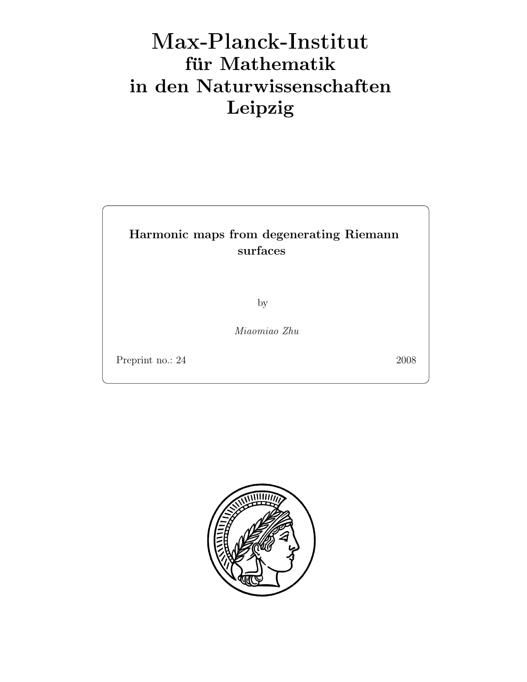# Max-Plan
k-Institut für Mathematik in den Naturwissenschaften Leipzig

### Harmonic maps from degenerating Riemann surfaces

by

Miaomiao Zhu

Preprint no.: 24 2008

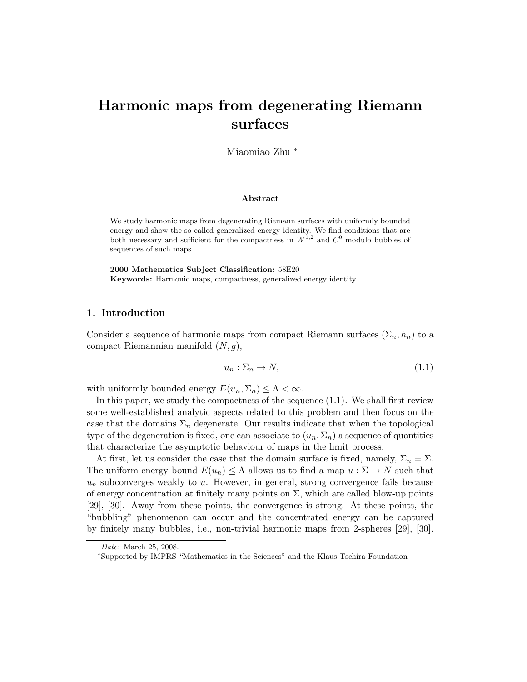## Harmonic maps from degenerating Riemann surfaces

Miaomiao Zhu <sup>∗</sup>

#### Abstract

We study harmonic maps from degenerating Riemann surfaces with uniformly bounded energy and show the so-called generalized energy identity. We find conditions that are both necessary and sufficient for the compactness in  $W^{1,2}$  and  $C^0$  modulo bubbles of sequences of such maps.

2000 Mathematics Subject Classification: 58E20 Keywords: Harmonic maps, compactness, generalized energy identity.

#### 1. Introduction

Consider a sequence of harmonic maps from compact Riemann surfaces  $(\Sigma_n, h_n)$  to a compact Riemannian manifold  $(N, g)$ ,

$$
u_n: \Sigma_n \to N,\tag{1.1}
$$

with uniformly bounded energy  $E(u_n, \Sigma_n) \leq \Lambda < \infty$ .

In this paper, we study the compactness of the sequence (1.1). We shall first review some well-established analytic aspects related to this problem and then focus on the case that the domains  $\Sigma_n$  degenerate. Our results indicate that when the topological type of the degeneration is fixed, one can associate to  $(u_n, \Sigma_n)$  a sequence of quantities that characterize the asymptotic behaviour of maps in the limit process.

At first, let us consider the case that the domain surface is fixed, namely,  $\Sigma_n = \Sigma$ . The uniform energy bound  $E(u_n) \leq \Lambda$  allows us to find a map  $u : \Sigma \to N$  such that  $u_n$  subconverges weakly to  $u$ . However, in general, strong convergence fails because of energy concentration at finitely many points on  $\Sigma$ , which are called blow-up points [29], [30]. Away from these points, the convergence is strong. At these points, the "bubbling" phenomenon can occur and the concentrated energy can be captured by finitely many bubbles, i.e., non-trivial harmonic maps from 2-spheres [29], [30].

Date: March 25, 2008.

<sup>∗</sup>Supported by IMPRS "Mathematics in the Sciences" and the Klaus Tschira Foundation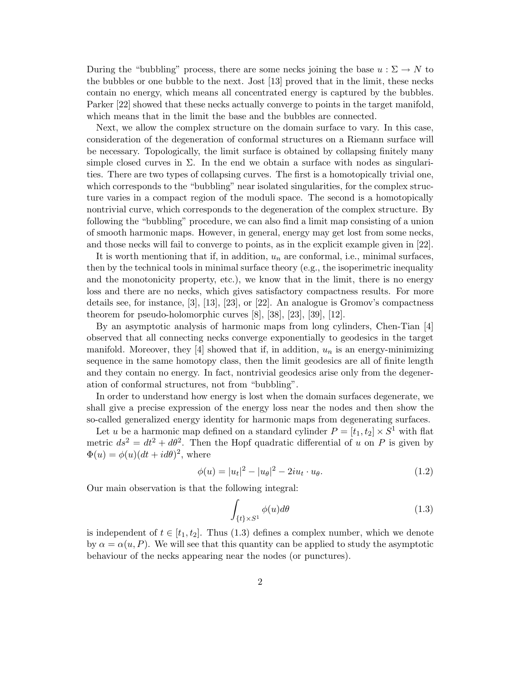During the "bubbling" process, there are some necks joining the base  $u : \Sigma \to N$  to the bubbles or one bubble to the next. Jost [13] proved that in the limit, these necks contain no energy, which means all concentrated energy is captured by the bubbles. Parker [22] showed that these necks actually converge to points in the target manifold, which means that in the limit the base and the bubbles are connected.

Next, we allow the complex structure on the domain surface to vary. In this case, consideration of the degeneration of conformal structures on a Riemann surface will be necessary. Topologically, the limit surface is obtained by collapsing finitely many simple closed curves in  $\Sigma$ . In the end we obtain a surface with nodes as singularities. There are two types of collapsing curves. The first is a homotopically trivial one, which corresponds to the "bubbling" near isolated singularities, for the complex structure varies in a compact region of the moduli space. The second is a homotopically nontrivial curve, which corresponds to the degeneration of the complex structure. By following the "bubbling" procedure, we can also find a limit map consisting of a union of smooth harmonic maps. However, in general, energy may get lost from some necks, and those necks will fail to converge to points, as in the explicit example given in [22].

It is worth mentioning that if, in addition,  $u_n$  are conformal, i.e., minimal surfaces, then by the technical tools in minimal surface theory (e.g., the isoperimetric inequality and the monotonicity property, etc.), we know that in the limit, there is no energy loss and there are no necks, which gives satisfactory compactness results. For more details see, for instance, [3], [13], [23], or [22]. An analogue is Gromov's compactness theorem for pseudo-holomorphic curves [8], [38], [23], [39], [12].

By an asymptotic analysis of harmonic maps from long cylinders, Chen-Tian [4] observed that all connecting necks converge exponentially to geodesics in the target manifold. Moreover, they [4] showed that if, in addition,  $u_n$  is an energy-minimizing sequence in the same homotopy class, then the limit geodesics are all of finite length and they contain no energy. In fact, nontrivial geodesics arise only from the degeneration of conformal structures, not from "bubbling".

In order to understand how energy is lost when the domain surfaces degenerate, we shall give a precise expression of the energy loss near the nodes and then show the so-called generalized energy identity for harmonic maps from degenerating surfaces.

Let u be a harmonic map defined on a standard cylinder  $P = [t_1, t_2] \times S^1$  with flat metric  $ds^2 = dt^2 + d\theta^2$ . Then the Hopf quadratic differential of u on P is given by  $\Phi(u) = \phi(u)(dt + id\theta)^2$ , where

$$
\phi(u) = |u_t|^2 - |u_\theta|^2 - 2iu_t \cdot u_\theta.
$$
\n(1.2)

Our main observation is that the following integral:

$$
\int_{\{t\} \times S^1} \phi(u) d\theta \tag{1.3}
$$

is independent of  $t \in [t_1, t_2]$ . Thus (1.3) defines a complex number, which we denote by  $\alpha = \alpha(u, P)$ . We will see that this quantity can be applied to study the asymptotic behaviour of the necks appearing near the nodes (or punctures).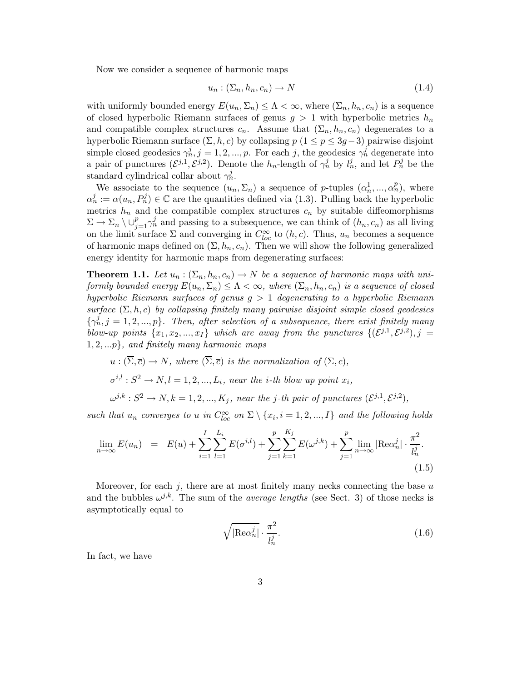Now we consider a sequence of harmonic maps

$$
u_n : (\Sigma_n, h_n, c_n) \to N \tag{1.4}
$$

with uniformly bounded energy  $E(u_n, \Sigma_n) \leq \Lambda < \infty$ , where  $(\Sigma_n, h_n, c_n)$  is a sequence of closed hyperbolic Riemann surfaces of genus  $g > 1$  with hyperbolic metrics  $h_n$ and compatible complex structures  $c_n$ . Assume that  $(\Sigma_n, h_n, c_n)$  degenerates to a hyperbolic Riemann surface  $(\Sigma, h, c)$  by collapsing  $p (1 \le p \le 3g-3)$  pairwise disjoint simple closed geodesics  $\gamma_n^j$ ,  $j = 1, 2, ..., p$ . For each j, the geodesics  $\gamma_n^j$  degenerate into a pair of punctures  $(\mathcal{E}^{j,1}, \mathcal{E}^{j,2})$ . Denote the  $h_n$ -length of  $\gamma_n^j$  by  $l_n^j$ , and let  $P_n^j$  be the standard cylindrical collar about  $\gamma_n^j$ .

We associate to the sequence  $(u_n, \Sigma_n)$  a sequence of p-tuples  $(\alpha_n^1, ..., \alpha_n^p)$ , where  $\alpha_n^j := \alpha(u_n, P_n^j) \in \mathbb{C}$  are the quantities defined via (1.3). Pulling back the hyperbolic metrics  $h_n$  and the compatible complex structures  $c_n$  by suitable diffeomorphisms  $\Sigma \to \Sigma_n \setminus \cup_{j=1}^p \gamma_n^j$  and passing to a subsequence, we can think of  $(h_n, c_n)$  as all living on the limit surface  $\Sigma$  and converging in  $C^{\infty}_{loc}$  to  $(h, c)$ . Thus,  $u_n$  becomes a sequence of harmonic maps defined on  $(\Sigma, h_n, c_n)$ . Then we will show the following generalized energy identity for harmonic maps from degenerating surfaces:

**Theorem 1.1.** Let  $u_n : (\Sigma_n, h_n, c_n) \to N$  be a sequence of harmonic maps with uniformly bounded energy  $E(u_n, \Sigma_n) \leq \Lambda < \infty$ , where  $(\Sigma_n, h_n, c_n)$  is a sequence of closed hyperbolic Riemann surfaces of genus  $g > 1$  degenerating to a hyperbolic Riemann surface  $(\Sigma, h, c)$  by collapsing finitely many pairwise disjoint simple closed geodesics  $\{\gamma_n^j, j = 1, 2, ..., p\}$ . Then, after selection of a subsequence, there exist finitely many blow-up points  $\{x_1, x_2, ..., x_I\}$  which are away from the punctures  $\{(\mathcal{E}^{j,1}, \mathcal{E}^{j,2}), j =$  $1, 2, \ldots p$ , and finitely many harmonic maps

$$
u: (\overline{\Sigma}, \overline{c}) \to N, \text{ where } (\overline{\Sigma}, \overline{c}) \text{ is the normalization of } (\Sigma, c),
$$
  
\n
$$
\sigma^{i,l}: S^2 \to N, l = 1, 2, ..., L_i, \text{ near the } i\text{-th blow up point } x_i,
$$
  
\n
$$
\omega^{j,k}: S^2 \to N, k = 1, 2, ..., K_j, \text{ near the } j\text{-th pair of punctures } (\mathcal{E}^{j,1}, \mathcal{E}^{j,2}),
$$

such that  $u_n$  converges to u in  $C^{\infty}_{loc}$  on  $\Sigma \setminus \{x_i, i = 1, 2, ..., I\}$  and the following holds

$$
\lim_{n \to \infty} E(u_n) = E(u) + \sum_{i=1}^{I} \sum_{l=1}^{L_i} E(\sigma^{i,l}) + \sum_{j=1}^{p} \sum_{k=1}^{K_j} E(\omega^{j,k}) + \sum_{j=1}^{p} \lim_{n \to \infty} |\text{Re}\alpha_n^j| \cdot \frac{\pi^2}{l_n^j}.
$$
\n(1.5)

Moreover, for each  $j$ , there are at most finitely many necks connecting the base  $u$ and the bubbles  $\omega^{j,k}$ . The sum of the *average lengths* (see Sect. 3) of those necks is asymptotically equal to

$$
\sqrt{|\text{Re}\alpha_n^j|} \cdot \frac{\pi^2}{l_n^j}.\tag{1.6}
$$

In fact, we have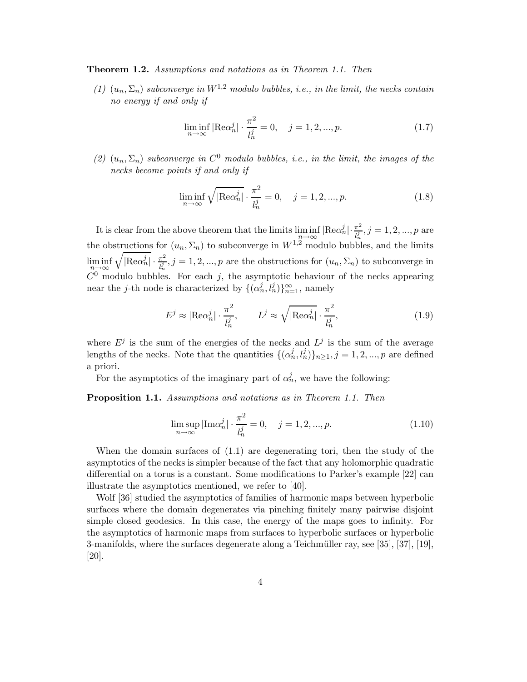Theorem 1.2. Assumptions and notations as in Theorem 1.1. Then

(1)  $(u_n, \Sigma_n)$  subconverge in  $W^{1,2}$  modulo bubbles, i.e., in the limit, the necks contain no energy if and only if

$$
\liminf_{n \to \infty} |\text{Re}\alpha_n^j| \cdot \frac{\pi^2}{l_n^j} = 0, \quad j = 1, 2, ..., p. \tag{1.7}
$$

(2)  $(u_n, \Sigma_n)$  subconverge in  $C^0$  modulo bubbles, i.e., in the limit, the images of the necks become points if and only if

$$
\liminf_{n \to \infty} \sqrt{|\text{Re}\alpha_n^j|} \cdot \frac{\pi^2}{l_n^j} = 0, \quad j = 1, 2, ..., p. \tag{1.8}
$$

It is clear from the above theorem that the limits  $\liminf_{n\to\infty} |\text{Re}\alpha_n^j| \cdot \frac{\pi^2}{l_n^j}$  $\frac{\pi^2}{l_n^j}, j = 1, 2, ..., p$  are the obstructions for  $(u_n, \Sigma_n)$  to subconverge in  $W^{1,2}$  modulo bubbles, and the limits  $\liminf_{n\to\infty}\sqrt{\left|\text{Re}\alpha_n^j\right|}\cdot\frac{\pi^2}{l_n^j}$ n→∞ n C <sup>0</sup> modulo bubbles. For each j, the asymptotic behaviour of the necks appearing  $\frac{\pi^2}{l_n^j}, j = 1, 2, ..., p$  are the obstructions for  $(u_n, \Sigma_n)$  to subconverge in near the *j*-th node is characterized by  $\{(\alpha_n^j, l_n^j)\}_{n=1}^{\infty}$ , namely

$$
E^j \approx |\text{Re}\alpha_n^j| \cdot \frac{\pi^2}{l_n^j}, \qquad L^j \approx \sqrt{|\text{Re}\alpha_n^j|} \cdot \frac{\pi^2}{l_n^j}, \tag{1.9}
$$

where  $E^j$  is the sum of the energies of the necks and  $L^j$  is the sum of the average lengths of the necks. Note that the quantities  $\{(\alpha_n^j, l_n^j)\}_{n\geq 1}, j = 1, 2, ..., p$  are defined a priori.

For the asymptotics of the imaginary part of  $\alpha_n^j$ , we have the following:

Proposition 1.1. Assumptions and notations as in Theorem 1.1. Then

$$
\limsup_{n \to \infty} |\text{Im}\alpha_n^j| \cdot \frac{\pi^2}{l_n^j} = 0, \quad j = 1, 2, ..., p. \tag{1.10}
$$

When the domain surfaces of (1.1) are degenerating tori, then the study of the asymptotics of the necks is simpler because of the fact that any holomorphic quadratic differential on a torus is a constant. Some modifications to Parker's example [22] can illustrate the asymptotics mentioned, we refer to [40].

Wolf [36] studied the asymptotics of families of harmonic maps between hyperbolic surfaces where the domain degenerates via pinching finitely many pairwise disjoint simple closed geodesics. In this case, the energy of the maps goes to infinity. For the asymptotics of harmonic maps from surfaces to hyperbolic surfaces or hyperbolic 3-manifolds, where the surfaces degenerate along a Teichmüller ray, see [35], [37], [19], [20].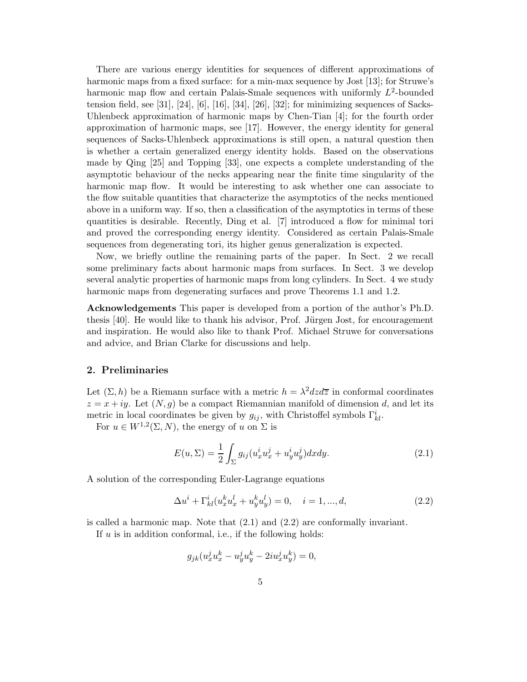There are various energy identities for sequences of different approximations of harmonic maps from a fixed surface: for a min-max sequence by Jost [13]; for Struwe's harmonic map flow and certain Palais-Smale sequences with uniformly  $L^2$ -bounded tension field, see [31], [24], [6], [16], [34], [26], [32]; for minimizing sequences of Sacks-Uhlenbeck approximation of harmonic maps by Chen-Tian [4]; for the fourth order approximation of harmonic maps, see [17]. However, the energy identity for general sequences of Sacks-Uhlenbeck approximations is still open, a natural question then is whether a certain generalized energy identity holds. Based on the observations made by Qing [25] and Topping [33], one expects a complete understanding of the asymptotic behaviour of the necks appearing near the finite time singularity of the harmonic map flow. It would be interesting to ask whether one can associate to the flow suitable quantities that characterize the asymptotics of the necks mentioned above in a uniform way. If so, then a classification of the asymptotics in terms of these quantities is desirable. Recently, Ding et al. [7] introduced a flow for minimal tori and proved the corresponding energy identity. Considered as certain Palais-Smale sequences from degenerating tori, its higher genus generalization is expected.

Now, we briefly outline the remaining parts of the paper. In Sect. 2 we recall some preliminary facts about harmonic maps from surfaces. In Sect. 3 we develop several analytic properties of harmonic maps from long cylinders. In Sect. 4 we study harmonic maps from degenerating surfaces and prove Theorems 1.1 and 1.2.

Acknowledgements This paper is developed from a portion of the author's Ph.D. thesis  $[40]$ . He would like to thank his advisor, Prof. Jürgen Jost, for encouragement and inspiration. He would also like to thank Prof. Michael Struwe for conversations and advice, and Brian Clarke for discussions and help.

#### 2. Preliminaries

Let  $(\Sigma, h)$  be a Riemann surface with a metric  $h = \lambda^2 dz d\overline{z}$  in conformal coordinates  $z = x + iy$ . Let  $(N, q)$  be a compact Riemannian manifold of dimension d, and let its metric in local coordinates be given by  $g_{ij}$ , with Christoffel symbols  $\Gamma^i_{kl}$ .

For  $u \in W^{1,2}(\Sigma, N)$ , the energy of u on  $\Sigma$  is

$$
E(u, \Sigma) = \frac{1}{2} \int_{\Sigma} g_{ij} (u_x^i u_x^j + u_y^i u_y^j) dx dy.
$$
 (2.1)

A solution of the corresponding Euler-Lagrange equations

$$
\Delta u^{i} + \Gamma^{i}_{kl}(u^{k}_{x}u^{l}_{x} + u^{k}_{y}u^{l}_{y}) = 0, \quad i = 1, ..., d,
$$
\n(2.2)

is called a harmonic map. Note that (2.1) and (2.2) are conformally invariant.

If  $u$  is in addition conformal, i.e., if the following holds:

$$
g_{jk}(u_x^j u_x^k - u_y^j u_y^k - 2iu_x^j u_y^k) = 0,
$$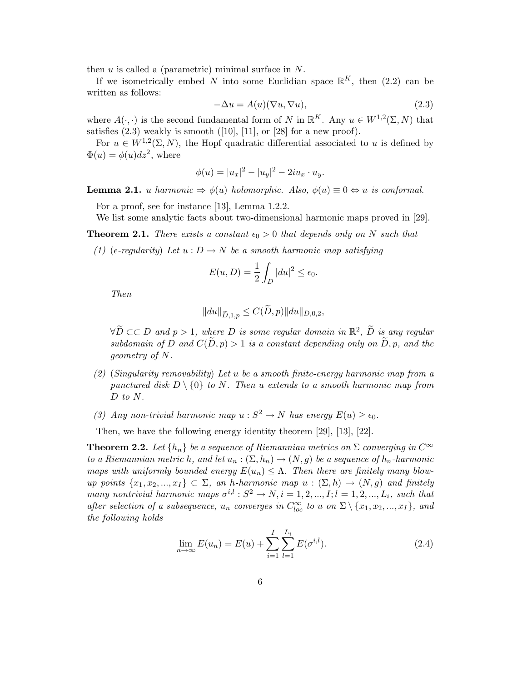then  $u$  is called a (parametric) minimal surface in  $N$ .

If we isometrically embed N into some Euclidian space  $\mathbb{R}^K$ , then (2.2) can be written as follows:

$$
-\Delta u = A(u)(\nabla u, \nabla u),\tag{2.3}
$$

where  $A(\cdot, \cdot)$  is the second fundamental form of N in  $\mathbb{R}^K$ . Any  $u \in W^{1,2}(\Sigma, N)$  that satisfies  $(2.3)$  weakly is smooth  $([10], [11], \text{ or } [28]$  for a new proof).

For  $u \in W^{1,2}(\Sigma, N)$ , the Hopf quadratic differential associated to u is defined by  $\Phi(u) = \phi(u) dz^2$ , where

$$
\phi(u) = |u_x|^2 - |u_y|^2 - 2iu_x \cdot u_y.
$$

**Lemma 2.1.** u harmonic  $\Rightarrow \phi(u)$  holomorphic. Also,  $\phi(u) \equiv 0 \Leftrightarrow u$  is conformal.

For a proof, see for instance [13], Lemma 1.2.2.

We list some analytic facts about two-dimensional harmonic maps proved in [29].

**Theorem 2.1.** There exists a constant  $\epsilon_0 > 0$  that depends only on N such that

(1) ( $\epsilon$ -regularity) Let  $u : D \to N$  be a smooth harmonic map satisfying

$$
E(u, D) = \frac{1}{2} \int_{D} |du|^{2} \le \epsilon_{0}.
$$

Then

$$
||du||_{\widetilde{D},1,p} \leq C(\widetilde{D},p)||du||_{D,0,2},
$$

 $\forall \tilde{D} \subset\subset D$  and  $p > 1$ , where D is some regular domain in  $\mathbb{R}^2$ ,  $\tilde{D}$  is any regular subdomain of D and  $C(\tilde{D}, p) > 1$  is a constant depending only on  $\tilde{D}$ , p, and the geometry of N.

- (2) (Singularity removability) Let u be a smooth finite-energy harmonic map from a punctured disk  $D \setminus \{0\}$  to N. Then u extends to a smooth harmonic map from D to N.
- (3) Any non-trivial harmonic map  $u : S^2 \to N$  has energy  $E(u) \geq \epsilon_0$ .

Then, we have the following energy identity theorem [29], [13], [22].

**Theorem 2.2.** Let  $\{h_n\}$  be a sequence of Riemannian metrics on  $\Sigma$  converging in  $C^{\infty}$ to a Riemannian metric h, and let  $u_n : (\Sigma, h_n) \to (N, g)$  be a sequence of  $h_n$ -harmonic maps with uniformly bounded energy  $E(u_n) \leq \Lambda$ . Then there are finitely many blowup points  $\{x_1, x_2, ..., x_I\} \subset \Sigma$ , an h-harmonic map  $u : (\Sigma, h) \to (N, g)$  and finitely many nontrivial harmonic maps  $\sigma^{i,l}: S^2 \to N, i = 1, 2, ..., I; l = 1, 2, ..., L_i$ , such that after selection of a subsequence,  $u_n$  converges in  $C^{\infty}_{loc}$  to u on  $\Sigma \setminus \{x_1, x_2, ..., x_I\}$ , and the following holds

$$
\lim_{n \to \infty} E(u_n) = E(u) + \sum_{i=1}^{I} \sum_{l=1}^{L_i} E(\sigma^{i,l}).
$$
\n(2.4)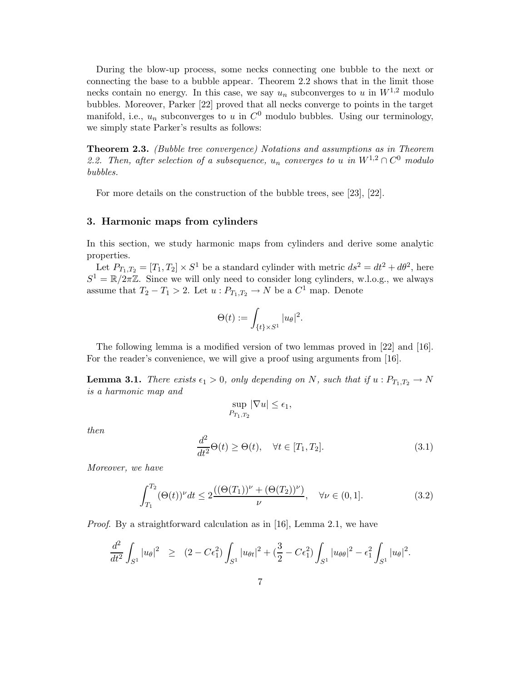During the blow-up process, some necks connecting one bubble to the next or connecting the base to a bubble appear. Theorem 2.2 shows that in the limit those necks contain no energy. In this case, we say  $u_n$  subconverges to u in  $W^{1,2}$  modulo bubbles. Moreover, Parker [22] proved that all necks converge to points in the target manifold, i.e.,  $u_n$  subconverges to u in  $C^0$  modulo bubbles. Using our terminology, we simply state Parker's results as follows:

Theorem 2.3. (Bubble tree convergence) Notations and assumptions as in Theorem 2.2. Then, after selection of a subsequence,  $u_n$  converges to u in  $W^{1,2} \cap C^0$  modulo bubbles.

For more details on the construction of the bubble trees, see [23], [22].

### 3. Harmonic maps from cylinders

In this section, we study harmonic maps from cylinders and derive some analytic properties.

Let  $P_{T_1,T_2} = [T_1, T_2] \times S^1$  be a standard cylinder with metric  $ds^2 = dt^2 + d\theta^2$ , here  $S^1 = \mathbb{R}/2\pi\mathbb{Z}$ . Since we will only need to consider long cylinders, w.l.o.g., we always assume that  $T_2 - T_1 > 2$ . Let  $u : P_{T_1, T_2} \to N$  be a  $C^1$  map. Denote

$$
\Theta(t) := \int_{\{t\} \times S^1} |u_\theta|^2.
$$

The following lemma is a modified version of two lemmas proved in [22] and [16]. For the reader's convenience, we will give a proof using arguments from [16].

**Lemma 3.1.** There exists  $\epsilon_1 > 0$ , only depending on N, such that if  $u : P_{T_1,T_2} \to N$ is a harmonic map and

$$
\sup_{P_{T_1,T_2}} |\nabla u| \le \epsilon_1,
$$

then

$$
\frac{d^2}{dt^2}\Theta(t) \ge \Theta(t), \quad \forall t \in [T_1, T_2].
$$
\n(3.1)

Moreover, we have

$$
\int_{T_1}^{T_2} (\Theta(t))^{\nu} dt \le 2 \frac{((\Theta(T_1))^{\nu} + (\Theta(T_2))^{\nu})}{\nu}, \quad \forall \nu \in (0, 1].
$$
 (3.2)

Proof. By a straightforward calculation as in [16], Lemma 2.1, we have

$$
\frac{d^2}{dt^2} \int_{S^1} |u_\theta|^2 \geq (2 - C\epsilon_1^2) \int_{S^1} |u_{\theta t}|^2 + (\frac{3}{2} - C\epsilon_1^2) \int_{S^1} |u_{\theta\theta}|^2 - \epsilon_1^2 \int_{S^1} |u_\theta|^2.
$$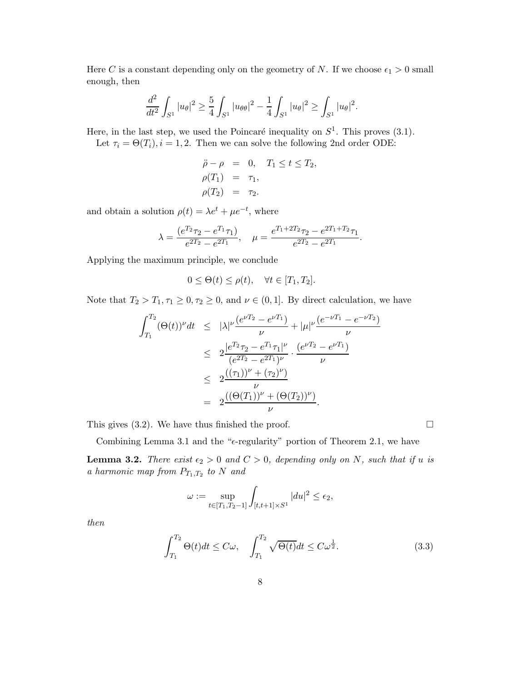Here C is a constant depending only on the geometry of N. If we choose  $\epsilon_1 > 0$  small enough, then

$$
\frac{d^2}{dt^2} \int_{S^1} |u_\theta|^2 \ge \frac{5}{4} \int_{S^1} |u_{\theta\theta}|^2 - \frac{1}{4} \int_{S^1} |u_\theta|^2 \ge \int_{S^1} |u_\theta|^2.
$$

Here, in the last step, we used the Poincaré inequality on  $S^1$ . This proves  $(3.1)$ . Let  $\tau_i = \Theta(T_i)$ ,  $i = 1, 2$ . Then we can solve the following 2nd order ODE:

$$
\begin{aligned}\n\ddot{\rho} - \rho &= 0, \quad T_1 \le t \le T_2, \\
\rho(T_1) &= \tau_1, \\
\rho(T_2) &= \tau_2.\n\end{aligned}
$$

and obtain a solution  $\rho(t) = \lambda e^t + \mu e^{-t}$ , where

$$
\lambda = \frac{(e^{T_2}\tau_2 - e^{T_1}\tau_1)}{e^{2T_2} - e^{2T_1}}, \quad \mu = \frac{e^{T_1 + 2T_2}\tau_2 - e^{2T_1 + T_2}\tau_1}{e^{2T_2} - e^{2T_1}}
$$

.

Applying the maximum principle, we conclude

$$
0 \leq \Theta(t) \leq \rho(t), \quad \forall t \in [T_1, T_2].
$$

Note that  $T_2 > T_1, \tau_1 \geq 0, \tau_2 \geq 0$ , and  $\nu \in (0, 1]$ . By direct calculation, we have

$$
\int_{T_1}^{T_2} (\Theta(t))^{\nu} dt \leq |\lambda|^{\nu} \frac{(e^{\nu T_2} - e^{\nu T_1})}{\nu} + |\mu|^{\nu} \frac{(e^{-\nu T_1} - e^{-\nu T_2})}{\nu}
$$
  

$$
\leq 2 \frac{|e^{T_2} \tau_2 - e^{T_1} \tau_1|^{\nu}}{(e^{2T_2} - e^{2T_1})^{\nu}} \cdot \frac{(e^{\nu T_2} - e^{\nu T_1})}{\nu}
$$
  

$$
\leq 2 \frac{((\tau_1))^{\nu} + (\tau_2)^{\nu})}{\nu}
$$
  

$$
= 2 \frac{((\Theta(T_1))^{\nu} + (\Theta(T_2))^{\nu})}{\nu}.
$$

This gives (3.2). We have thus finished the proof.

$$
\Box
$$

Combining Lemma 3.1 and the " $\epsilon$ -regularity" portion of Theorem 2.1, we have

**Lemma 3.2.** There exist  $\epsilon_2 > 0$  and  $C > 0$ , depending only on N, such that if u is a harmonic map from  $P_{T_1,T_2}$  to N and

$$
\omega := \sup_{t \in [T_1, T_2 - 1]} \int_{[t, t+1] \times S^1} |du|^2 \le \epsilon_2,
$$

then

$$
\int_{T_1}^{T_2} \Theta(t)dt \le C\omega, \quad \int_{T_1}^{T_2} \sqrt{\Theta(t)}dt \le C\omega^{\frac{1}{2}}.
$$
\n(3.3)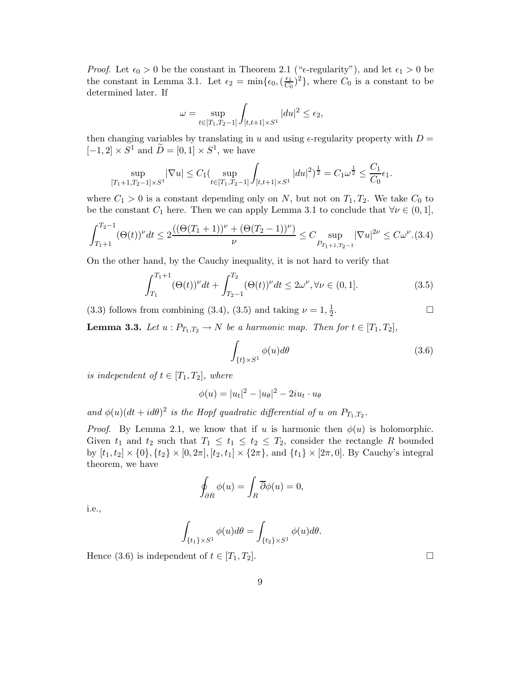*Proof.* Let  $\epsilon_0 > 0$  be the constant in Theorem 2.1 (" $\epsilon$ -regularity"), and let  $\epsilon_1 > 0$  be the constant in Lemma 3.1. Let  $\epsilon_2 = \min\{\epsilon_0, (\frac{\epsilon_1}{C_0})\}$  $\frac{\epsilon_1}{C_0}$   $^2$ , where  $C_0$  is a constant to be determined later. If

$$
\omega = \sup_{t \in [T_1, T_2 - 1]} \int_{[t, t+1] \times S^1} |du|^2 \le \epsilon_2,
$$

then changing variables by translating in u and using  $\epsilon$ -regularity property with  $D =$  $[-1, 2] \times S^1$  and  $\tilde{D} = [0, 1] \times S^1$ , we have

$$
\sup_{[T_1+1,T_2-1]\times S^1} |\nabla u| \le C_1 (\sup_{t\in[T_1,T_2-1]} \int_{[t,t+1]\times S^1} |du|^2)^{\frac{1}{2}} = C_1 \omega^{\frac{1}{2}} \le \frac{C_1}{C_0} \epsilon_1.
$$

where  $C_1 > 0$  is a constant depending only on N, but not on  $T_1, T_2$ . We take  $C_0$  to be the constant  $C_1$  here. Then we can apply Lemma 3.1 to conclude that  $\forall \nu \in (0,1],$ 

$$
\int_{T_1+1}^{T_2-1} (\Theta(t))^{\nu} dt \le 2 \frac{\left( (\Theta(T_1+1))^{\nu} + (\Theta(T_2-1))^{\nu} \right)}{\nu} \le C \sup_{P_{T_1+1,T_2-1}} |\nabla u|^{2\nu} \le C\omega^{\nu}.
$$
(3.4)

On the other hand, by the Cauchy inequality, it is not hard to verify that

$$
\int_{T_1}^{T_1+1} (\Theta(t))^\nu dt + \int_{T_2-1}^{T_2} (\Theta(t))^\nu dt \le 2\omega^\nu, \forall \nu \in (0,1].
$$
 (3.5)

(3.3) follows from combining (3.4), (3.5) and taking  $\nu = 1, \frac{1}{2}$ 2 . В последните и последните и последните и последните и последните и последните и последните и последните и по<br>В последните и последните и последните и последните и последните и последните и последните и последните и посл

**Lemma 3.3.** Let  $u : P_{T_1,T_2} \to N$  be a harmonic map. Then for  $t \in [T_1,T_2]$ ,

$$
\int_{\{t\} \times S^1} \phi(u) d\theta \tag{3.6}
$$

is independent of  $t \in [T_1, T_2]$ , where

$$
\phi(u) = |u_t|^2 - |u_\theta|^2 - 2iu_t \cdot u_\theta
$$

and  $\phi(u)(dt + id\theta)^2$  is the Hopf quadratic differential of u on  $P_{T_1,T_2}$ .

*Proof.* By Lemma 2.1, we know that if u is harmonic then  $\phi(u)$  is holomorphic. Given  $t_1$  and  $t_2$  such that  $T_1 \le t_1 \le t_2 \le T_2$ , consider the rectangle R bounded by  $[t_1, t_2] \times \{0\}, \{t_2\} \times [0, 2\pi], [t_2, t_1] \times \{2\pi\}, \text{ and } \{t_1\} \times [2\pi, 0].$  By Cauchy's integral theorem, we have

$$
\oint_{\partial R} \phi(u) = \int_R \overline{\partial} \phi(u) = 0,
$$

i.e.,

$$
\int_{\{t_1\}\times S^1} \phi(u) d\theta = \int_{\{t_2\}\times S^1} \phi(u) d\theta.
$$

Hence (3.6) is independent of  $t \in [T_1, T_2]$ .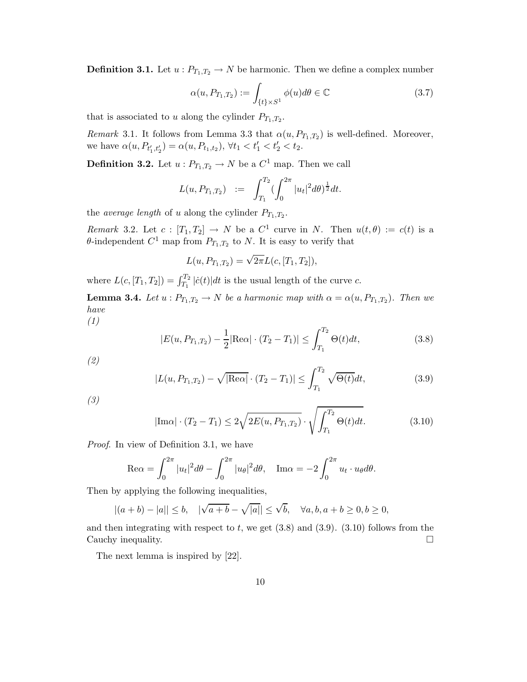**Definition 3.1.** Let  $u : P_{T_1,T_2} \to N$  be harmonic. Then we define a complex number

$$
\alpha(u, P_{T_1, T_2}) := \int_{\{t\} \times S^1} \phi(u) d\theta \in \mathbb{C}
$$
\n(3.7)

that is associated to u along the cylinder  $P_{T_1,T_2}$ .

*Remark* 3.1. It follows from Lemma 3.3 that  $\alpha(u, P_{T_1, T_2})$  is well-defined. Moreover, we have  $\alpha(u, P_{t_1', t_2'}) = \alpha(u, P_{t_1, t_2}), \forall t_1 < t_1' < t_2' < t_2.$ 

**Definition 3.2.** Let  $u: P_{T_1,T_2} \to N$  be a  $C^1$  map. Then we call

$$
L(u, P_{T_1, T_2}) \quad := \quad \int_{T_1}^{T_2} \left( \int_0^{2\pi} |u_t|^2 d\theta \right)^{\frac{1}{2}} dt.
$$

the *average length* of u along the cylinder  $P_{T_1,T_2}$ .

Remark 3.2. Let  $c: [T_1, T_2] \to N$  be a  $C^1$  curve in N. Then  $u(t, \theta) := c(t)$  is a  $\theta$ -independent  $C^1$  map from  $P_{T_1,T_2}$  to N. It is easy to verify that

$$
L(u, P_{T_1,T_2}) = \sqrt{2\pi}L(c, [T_1, T_2]),
$$

where  $L(c, [T_1, T_2]) = \int_{T_1}^{T_2} |\dot{c}(t)| dt$  is the usual length of the curve c.

**Lemma 3.4.** Let  $u: P_{T_1,T_2} \to N$  be a harmonic map with  $\alpha = \alpha(u, P_{T_1,T_2})$ . Then we have

(1)

$$
|E(u, P_{T_1, T_2}) - \frac{1}{2}|\text{Re}\alpha| \cdot (T_2 - T_1)| \le \int_{T_1}^{T_2} \Theta(t)dt,
$$
\n(3.8)

(2)

$$
|L(u, P_{T_1, T_2}) - \sqrt{|\text{Re}\alpha|} \cdot (T_2 - T_1)| \le \int_{T_1}^{T_2} \sqrt{\Theta(t)} dt,
$$
\n(3.9)

(3)

$$
|\text{Im}\alpha| \cdot (T_2 - T_1) \le 2\sqrt{2E(u, P_{T_1, T_2})} \cdot \sqrt{\int_{T_1}^{T_2} \Theta(t)dt}.\tag{3.10}
$$

Proof. In view of Definition 3.1, we have

$$
\text{Re}\alpha = \int_0^{2\pi} |u_t|^2 d\theta - \int_0^{2\pi} |u_\theta|^2 d\theta, \quad \text{Im}\alpha = -2 \int_0^{2\pi} u_t \cdot u_\theta d\theta.
$$

Then by applying the following inequalities,

$$
|(a+b) - |a|| \le b, \quad |\sqrt{a+b} - \sqrt{|a|}| \le \sqrt{b}, \quad \forall a, b, a+b \ge 0, b \ge 0,
$$

and then integrating with respect to t, we get  $(3.8)$  and  $(3.9)$ .  $(3.10)$  follows from the Cauchy inequality.  $\Box$ 

The next lemma is inspired by [22].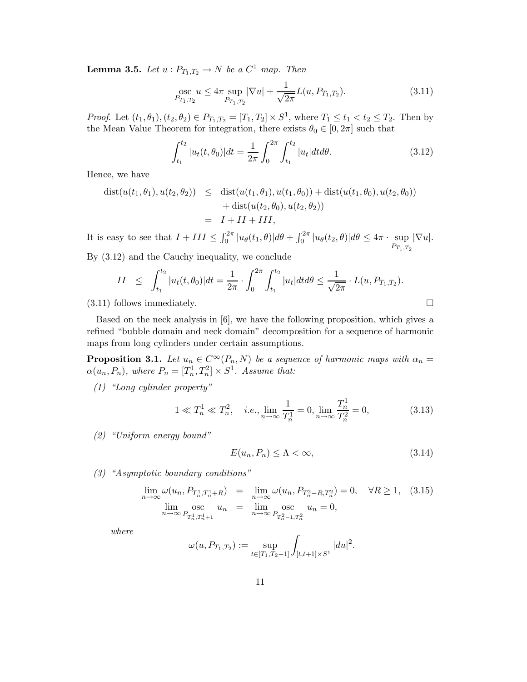**Lemma 3.5.** Let  $u: P_{T_1,T_2} \to N$  be a  $C^1$  map. Then

$$
\underset{P_{T_1, T_2}}{\text{osc}} u \le 4\pi \sup_{P_{T_1, T_2}} |\nabla u| + \frac{1}{\sqrt{2\pi}} L(u, P_{T_1, T_2}).\tag{3.11}
$$

*Proof.* Let  $(t_1, \theta_1), (t_2, \theta_2) \in P_{T_1, T_2} = [T_1, T_2] \times S^1$ , where  $T_1 \le t_1 < t_2 \le T_2$ . Then by the Mean Value Theorem for integration, there exists  $\theta_0 \in [0, 2\pi]$  such that

$$
\int_{t_1}^{t_2} |u_t(t, \theta_0)| dt = \frac{1}{2\pi} \int_0^{2\pi} \int_{t_1}^{t_2} |u_t| dt d\theta.
$$
 (3.12)

Hence, we have

$$
dist(u(t_1, \theta_1), u(t_2, \theta_2)) \leq dist(u(t_1, \theta_1), u(t_1, \theta_0)) + dist(u(t_1, \theta_0), u(t_2, \theta_0))
$$
  
+ 
$$
dist(u(t_2, \theta_0), u(t_2, \theta_2))
$$
  
=  $I + II + III$ ,

It is easy to see that  $I + III \leq \int_0^{2\pi} |u_\theta(t_1, \theta)| d\theta + \int_0^{2\pi} |u_\theta(t_2, \theta)| d\theta \leq 4\pi \cdot \sup_{P_{T_1, T_2}} |\nabla u|$ .

By (3.12) and the Cauchy inequality, we conclude

$$
II \leq \int_{t_1}^{t_2} |u_t(t, \theta_0)| dt = \frac{1}{2\pi} \cdot \int_0^{2\pi} \int_{t_1}^{t_2} |u_t| dt d\theta \leq \frac{1}{\sqrt{2\pi}} \cdot L(u, P_{T_1, T_2}).
$$
\n(3.11) follows immediately.

Based on the neck analysis in  $[6]$ , we have the following proposition, which gives a refined "bubble domain and neck domain" decomposition for a sequence of harmonic maps from long cylinders under certain assumptions.

**Proposition 3.1.** Let  $u_n \in C^{\infty}(P_n, N)$  be a sequence of harmonic maps with  $\alpha_n =$  $\alpha(u_n, P_n)$ , where  $P_n = [T_n^1, T_n^2] \times S^1$ . Assume that:

(1) "Long cylinder property"

$$
1 \ll T_n^1 \ll T_n^2, \quad i.e., \lim_{n \to \infty} \frac{1}{T_n^1} = 0, \lim_{n \to \infty} \frac{T_n^1}{T_n^2} = 0,
$$
\n(3.13)

(2) "Uniform energy bound"

$$
E(u_n, P_n) \le \Lambda < \infty,\tag{3.14}
$$

(3) "Asymptotic boundary conditions"

$$
\lim_{n \to \infty} \omega(u_n, P_{T_n^1, T_n^1 + R}) = \lim_{n \to \infty} \omega(u_n, P_{T_n^2 - R, T_n^2}) = 0, \quad \forall R \ge 1, \quad (3.15)
$$
  

$$
\lim_{n \to \infty} \sum_{P_{T_n^1, T_n^1 + 1} \neq \emptyset} \text{osc}_{n \to \infty} u_n = 0, \quad u_n = 0,
$$

where

$$
\omega(u, P_{T_1, T_2}) := \sup_{t \in [T_1, T_2 - 1]} \int_{[t, t+1] \times S^1} |du|^2.
$$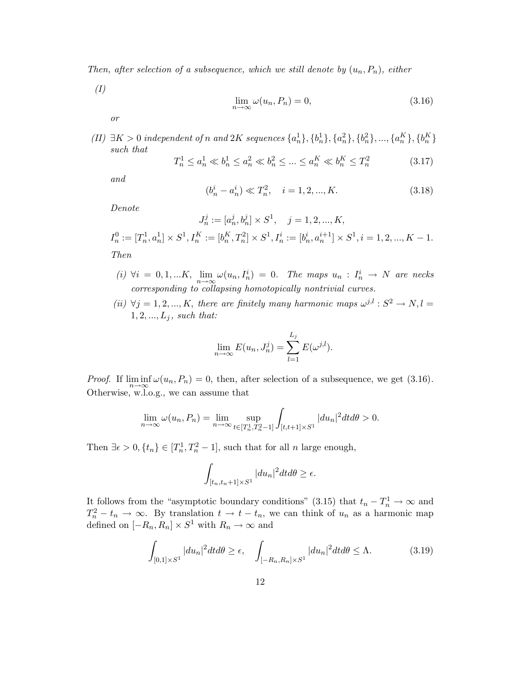Then, after selection of a subsequence, which we still denote by  $(u_n, P_n)$ , either

(I)

$$
\lim_{n \to \infty} \omega(u_n, P_n) = 0,\tag{3.16}
$$

or

(II)  $\exists K > 0$  independent of n and 2K sequences  $\{a_n^1\}, \{b_n^1\}, \{a_n^2\}, \{b_n^2\}, \ldots, \{a_n^K\}, \{b_n^K\}$ such that

$$
T_n^1 \le a_n^1 \ll b_n^1 \le a_n^2 \ll b_n^2 \le \dots \le a_n^K \ll b_n^K \le T_n^2 \tag{3.17}
$$

and

$$
(b_n^i - a_n^i) \ll T_n^2, \quad i = 1, 2, ..., K.
$$
 (3.18)

Denote

$$
J_n^j := [a_n^j, b_n^j] \times S^1, \quad j = 1, 2, ..., K,
$$
  
\n
$$
I_n^0 := [T_n^1, a_n^1] \times S^1, I_n^K := [b_n^K, T_n^2] \times S^1, I_n^i := [b_n^i, a_n^{i+1}] \times S^1, i = 1, 2, ..., K - 1.
$$
  
\nThen

- (i)  $\forall i = 0, 1, ... K, \lim_{n \to \infty} \omega(u_n, I_n^i) = 0$ . The maps  $u_n : I_n^i \to N$  are necks corresponding to collapsing homotopically nontrivial curves.
- (ii)  $\forall j = 1, 2, ..., K$ , there are finitely many harmonic maps  $\omega^{j,l} : S^2 \to N, l =$  $1, 2, ..., L_j$ , such that:

$$
\lim_{n \to \infty} E(u_n, J_n^j) = \sum_{l=1}^{L_j} E(\omega^{j,l}).
$$

*Proof.* If  $\liminf_{n\to\infty} \omega(u_n, P_n) = 0$ , then, after selection of a subsequence, we get (3.16). Otherwise, w.l.o.g., we can assume that

$$
\lim_{n \to \infty} \omega(u_n, P_n) = \lim_{n \to \infty} \sup_{t \in [T_n^1, T_n^2 - 1]} \int_{[t, t+1] \times S^1} |du_n|^2 dt d\theta > 0.
$$

Then  $\exists \epsilon > 0, \{t_n\} \in [T_n^1, T_n^2 - 1]$ , such that for all *n* large enough,

$$
\int_{[t_n,t_n+1]\times S^1} |du_n|^2 dt d\theta \ge \epsilon.
$$

It follows from the "asymptotic boundary conditions" (3.15) that  $t_n - T_n^1 \to \infty$  and  $T_n^2 - t_n \to \infty$ . By translation  $t \to t - t_n$ , we can think of  $u_n$  as a harmonic map defined on  $[-R_n, R_n] \times S^1$  with  $R_n \to \infty$  and

$$
\int_{[0,1]\times S^1} |du_n|^2 dt d\theta \ge \epsilon, \quad \int_{[-R_n,R_n]\times S^1} |du_n|^2 dt d\theta \le \Lambda. \tag{3.19}
$$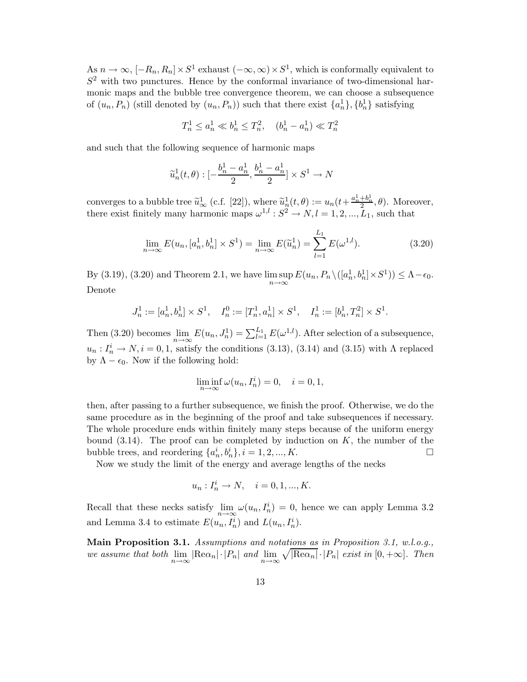As  $n \to \infty$ ,  $[-R_n, R_n] \times S^1$  exhaust  $(-\infty, \infty) \times S^1$ , which is conformally equivalent to  $S<sup>2</sup>$  with two punctures. Hence by the conformal invariance of two-dimensional harmonic maps and the bubble tree convergence theorem, we can choose a subsequence of  $(u_n, P_n)$  (still denoted by  $(u_n, P_n)$ ) such that there exist  $\{a_n^1\}, \{b_n^1\}$  satisfying

$$
T^1_n \le a^1_n \ll b^1_n \le T^2_n, \quad (b^1_n - a^1_n) \ll T^2_n
$$

and such that the following sequence of harmonic maps

$$
\widetilde{u}_n^1(t,\theta):[-\frac{b_n^1-a_n^1}{2},\frac{b_n^1-a_n^1}{2}]\times S^1\to N
$$

converges to a bubble tree  $\tilde{u}_{\infty}^1$  (c.f. [22]), where  $\tilde{u}_n^1(t,\theta) := u_n(t + \frac{a_n^1 + b_n^1}{2}, \theta)$ . Moreover, there exist finitely many harmonic maps  $\omega^{1,l}: S^2 \to N, l = 1, 2, ..., L_1$ , such that

$$
\lim_{n \to \infty} E(u_n, [a_n^1, b_n^1] \times S^1) = \lim_{n \to \infty} E(\widetilde{u}_n^1) = \sum_{l=1}^{L_1} E(\omega^{1,l}).
$$
\n(3.20)

By (3.19), (3.20) and Theorem 2.1, we have  $\limsup_{n\to\infty} E(u_n, P_n \setminus ([a_n^1, b_n^1] \times S^1)) \leq \Lambda - \epsilon_0$ . Denote

$$
J_n^1 := [a_n^1, b_n^1] \times S^1, \quad I_n^0 := [T_n^1, a_n^1] \times S^1, \quad I_n^1 := [b_n^1, T_n^2] \times S^1.
$$

Then (3.20) becomes  $\lim_{n\to\infty} E(u_n, J_n^1) = \sum_{l=1}^{L_1} E(\omega^{1,l})$ . After selection of a subsequence,  $u_n: I_n^i \to N, i = 0, 1$ , satisfy the conditions (3.13), (3.14) and (3.15) with  $\Lambda$  replaced by  $\Lambda - \epsilon_0$ . Now if the following hold:

$$
\liminf_{n \to \infty} \omega(u_n, I_n^i) = 0, \quad i = 0, 1,
$$

then, after passing to a further subsequence, we finish the proof. Otherwise, we do the same procedure as in the beginning of the proof and take subsequences if necessary. The whole procedure ends within finitely many steps because of the uniform energy bound  $(3.14)$ . The proof can be completed by induction on K, the number of the bubble trees, and reordering  $\{a_n^i, b_n^i\}, i = 1, 2, ..., K$ .

Now we study the limit of the energy and average lengths of the necks

$$
u_n: I_n^i \to N, \quad i = 0, 1, ..., K.
$$

Recall that these necks satisfy  $\lim_{n\to\infty} \omega(u_n, I_n^i) = 0$ , hence we can apply Lemma 3.2 and Lemma 3.4 to estimate  $E(u_n, I_n^i)$  and  $L(u_n, I_n^i)$ .

Main Proposition 3.1. Assumptions and notations as in Proposition 3.1, w.l.o.g., we assume that both  $\lim_{n\to\infty} |\text{Re}\alpha_n| \cdot |P_n|$  and  $\lim_{n\to\infty} \sqrt{|\text{Re}\alpha_n|} \cdot |P_n|$  exist in  $[0, +\infty]$ . Then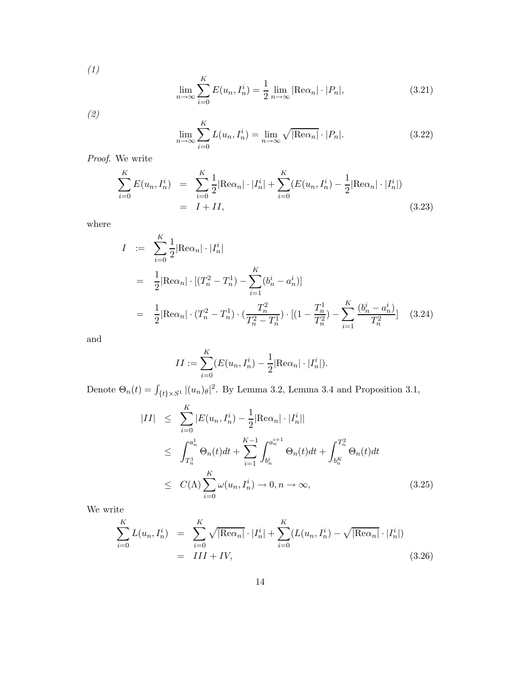(1)

$$
\lim_{n \to \infty} \sum_{i=0}^{K} E(u_n, I_n^i) = \frac{1}{2} \lim_{n \to \infty} |\text{Re}\alpha_n| \cdot |P_n|,
$$
\n(3.21)

(2)

$$
\lim_{n \to \infty} \sum_{i=0}^{K} L(u_n, I_n^i) = \lim_{n \to \infty} \sqrt{|\text{Re}\alpha_n|} \cdot |P_n|.
$$
 (3.22)

Proof. We write

$$
\sum_{i=0}^{K} E(u_n, I_n^i) = \sum_{i=0}^{K} \frac{1}{2} |\text{Re}\alpha_n| \cdot |I_n^i| + \sum_{i=0}^{K} (E(u_n, I_n^i) - \frac{1}{2} |\text{Re}\alpha_n| \cdot |I_n^i|)
$$
  
=  $I + II,$  (3.23)

where

$$
I := \sum_{i=0}^{K} \frac{1}{2} |\text{Re}\alpha_n| \cdot |I_n^i|
$$
  
\n
$$
= \frac{1}{2} |\text{Re}\alpha_n| \cdot [ (T_n^2 - T_n^1) - \sum_{i=1}^{K} (b_n^i - a_n^i) ]
$$
  
\n
$$
= \frac{1}{2} |\text{Re}\alpha_n| \cdot (T_n^2 - T_n^1) \cdot (\frac{T_n^2}{T_n^2 - T_n^1}) \cdot [(1 - \frac{T_n^1}{T_n^2}) - \sum_{i=1}^{K} \frac{(b_n^i - a_n^i)}{T_n^2}] \quad (3.24)
$$

and

$$
II := \sum_{i=0}^{K} (E(u_n, I_n^i) - \frac{1}{2} |\text{Re}\alpha_n| \cdot |I_n^i|).
$$

Denote  $\Theta_n(t) = \int_{\{t\} \times S^1} |(u_n)_{\theta}|^2$ . By Lemma 3.2, Lemma 3.4 and Proposition 3.1,

$$
|II| \leq \sum_{i=0}^{K} |E(u_n, I_n^i) - \frac{1}{2} |Re \alpha_n| \cdot |I_n^i|
$$
  
\n
$$
\leq \int_{T_n^1}^{a_n^1} \Theta_n(t) dt + \sum_{i=1}^{K-1} \int_{b_n^i}^{a_n^{i+1}} \Theta_n(t) dt + \int_{b_n^K}^{T_n^2} \Theta_n(t) dt
$$
  
\n
$$
\leq C(\Lambda) \sum_{i=0}^{K} \omega(u_n, I_n^i) \to 0, n \to \infty,
$$
 (3.25)

We write

$$
\sum_{i=0}^{K} L(u_n, I_n^i) = \sum_{i=0}^{K} \sqrt{|\text{Re}\alpha_n|} \cdot |I_n^i| + \sum_{i=0}^{K} (L(u_n, I_n^i) - \sqrt{|\text{Re}\alpha_n|} \cdot |I_n^i|)
$$
  
=  $III + IV,$  (3.26)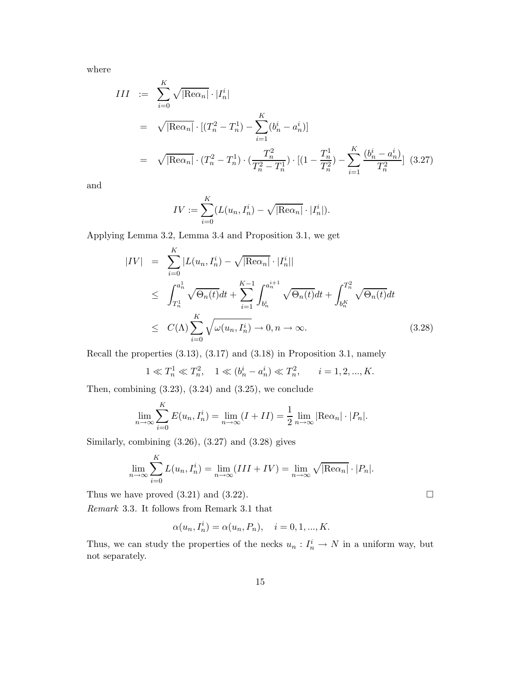where

$$
III := \sum_{i=0}^{K} \sqrt{|\text{Re}\alpha_n|} \cdot |I_n^i|
$$
  
=  $\sqrt{|\text{Re}\alpha_n|} \cdot [(T_n^2 - T_n^1) - \sum_{i=1}^{K} (b_n^i - a_n^i)]$   
=  $\sqrt{|\text{Re}\alpha_n|} \cdot (T_n^2 - T_n^1) \cdot (\frac{T_n^2}{T_n^2 - T_n^1}) \cdot [(1 - \frac{T_n^1}{T_n^2}) - \sum_{i=1}^{K} \frac{(b_n^i - a_n^i)}{T_n^2}]$  (3.27)

and

$$
IV := \sum_{i=0}^{K} (L(u_n, I_n^i) - \sqrt{|\text{Re}\alpha_n|} \cdot |I_n^i|).
$$

Applying Lemma 3.2, Lemma 3.4 and Proposition 3.1, we get

$$
|IV| = \sum_{i=0}^{K} |L(u_n, I_n^i) - \sqrt{|\text{Re}\alpha_n|} \cdot |I_n^i||
$$
  
\n
$$
\leq \int_{T_n^1}^{a_n^1} \sqrt{\Theta_n(t)} dt + \sum_{i=1}^{K-1} \int_{b_n^i}^{a_n^{i+1}} \sqrt{\Theta_n(t)} dt + \int_{b_n^K}^{T_n^2} \sqrt{\Theta_n(t)} dt
$$
  
\n
$$
\leq C(\Lambda) \sum_{i=0}^{K} \sqrt{\omega(u_n, I_n^i)} \to 0, n \to \infty.
$$
 (3.28)

Recall the properties (3.13), (3.17) and (3.18) in Proposition 3.1, namely

$$
1 \ll T_n^1 \ll T_n^2
$$
,  $1 \ll (b_n^i - a_n^i) \ll T_n^2$ ,  $i = 1, 2, ..., K$ .

Then, combining  $(3.23)$ ,  $(3.24)$  and  $(3.25)$ , we conclude

$$
\lim_{n \to \infty} \sum_{i=0}^{K} E(u_n, I_n^i) = \lim_{n \to \infty} (I + II) = \frac{1}{2} \lim_{n \to \infty} |\text{Re}\alpha_n| \cdot |P_n|.
$$

Similarly, combining  $(3.26)$ ,  $(3.27)$  and  $(3.28)$  gives

$$
\lim_{n \to \infty} \sum_{i=0}^{K} L(u_n, I_n^i) = \lim_{n \to \infty} (III + IV) = \lim_{n \to \infty} \sqrt{|\text{Re}\alpha_n|} \cdot |P_n|.
$$

Thus we have proved  $(3.21)$  and  $(3.22)$ .

Remark 3.3. It follows from Remark 3.1 that

$$
\alpha(u_n, I_n^i) = \alpha(u_n, P_n), \quad i = 0, 1, ..., K.
$$

Thus, we can study the properties of the necks  $u_n: I_n^i \to N$  in a uniform way, but not separately.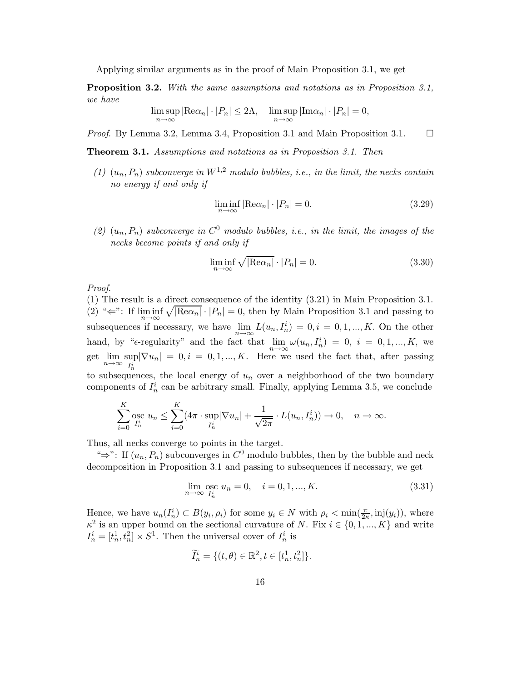Applying similar arguments as in the proof of Main Proposition 3.1, we get

Proposition 3.2. With the same assumptions and notations as in Proposition 3.1, we have

$$
\limsup_{n \to \infty} |\text{Re}\alpha_n| \cdot |P_n| \le 2\Lambda, \quad \limsup_{n \to \infty} |\text{Im}\alpha_n| \cdot |P_n| = 0,
$$

*Proof.* By Lemma 3.2, Lemma 3.4, Proposition 3.1 and Main Proposition 3.1.  $\Box$ 

Theorem 3.1. Assumptions and notations as in Proposition 3.1. Then

(1)  $(u_n, P_n)$  subconverge in  $W^{1,2}$  modulo bubbles, i.e., in the limit, the necks contain no energy if and only if

$$
\liminf_{n \to \infty} |\text{Re}\alpha_n| \cdot |P_n| = 0. \tag{3.29}
$$

(2)  $(u_n, P_n)$  subconverge in  $C^0$  modulo bubbles, i.e., in the limit, the images of the necks become points if and only if

$$
\liminf_{n \to \infty} \sqrt{|\text{Re}\alpha_n|} \cdot |P_n| = 0. \tag{3.30}
$$

Proof.

(1) The result is a direct consequence of the identity (3.21) in Main Proposition 3.1. (2) " $\Leftarrow$ ": If liminf  $\sqrt{|\text{Re}\alpha_n|} \cdot |P_n| = 0$ , then by Main Proposition 3.1 and passing to subsequences if necessary, we have  $\lim_{n\to\infty} L(u_n, I_n^i) = 0, i = 0, 1, ..., K$ . On the other hand, by " $\epsilon$ -regularity" and the fact that  $\lim_{n\to\infty} \omega(u_n, I_n^i) = 0$ ,  $i = 0, 1, ..., K$ , we get  $\lim_{n\to\infty} \sup_{I^i}$  $\sup_{I_n^i} |\nabla u_n| = 0, i = 0, 1, ..., K$ . Here we used the fact that, after passing to subsequences, the local energy of  $u_n$  over a neighborhood of the two boundary components of  $I_n^i$  can be arbitrary small. Finally, applying Lemma 3.5, we conclude

$$
\sum_{i=0}^K \underset{I_n^i}{\text{osc}} \ u_n \le \sum_{i=0}^K (4\pi \cdot \sup_{I_n^i} |\nabla u_n| + \frac{1}{\sqrt{2\pi}} \cdot L(u_n, I_n^i)) \to 0, \quad n \to \infty.
$$

Thus, all necks converge to points in the target.

" $\Rightarrow$ ": If  $(u_n, P_n)$  subconverges in  $C^0$  modulo bubbles, then by the bubble and neck decomposition in Proposition 3.1 and passing to subsequences if necessary, we get

$$
\lim_{n \to \infty} \operatorname*{osc}_{I_n^i} u_n = 0, \quad i = 0, 1, ..., K. \tag{3.31}
$$

Hence, we have  $u_n(I_n^i) \subset B(y_i, \rho_i)$  for some  $y_i \in N$  with  $\rho_i < \min(\frac{\pi}{2\kappa}, \text{inj}(y_i))$ , where  $\kappa^2$  is an upper bound on the sectional curvature of N. Fix  $i \in \{0, 1, ..., K\}$  and write  $I_n^i = [t_n^1, t_n^2] \times S^1$ . Then the universal cover of  $I_n^i$  is

$$
\widetilde{I}_n^i = \{ (t, \theta) \in \mathbb{R}^2, t \in [t_n^1, t_n^2] \}.
$$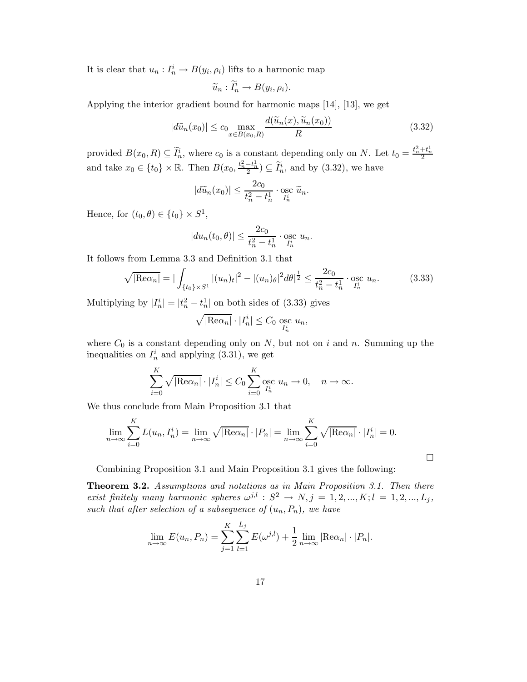It is clear that  $u_n: I_n^i \to B(y_i, \rho_i)$  lifts to a harmonic map

$$
\widetilde{u}_n : \widetilde{I}_n^i \to B(y_i, \rho_i).
$$

Applying the interior gradient bound for harmonic maps [14], [13], we get

$$
|d\widetilde{u}_n(x_0)| \le c_0 \max_{x \in B(x_0, R)} \frac{d(\widetilde{u}_n(x), \widetilde{u}_n(x_0))}{R}
$$
\n(3.32)

provided  $B(x_0, R) \subseteq \tilde{I}_n^i$ , where  $c_0$  is a constant depending only on N. Let  $t_0 = \frac{t_n^2 + t_n^1}{2}$ and take  $x_0 \in \{t_0\} \times \mathbb{R}$ . Then  $B(x_0, \frac{t_n^2 - t_n^1}{2}) \subseteq \widetilde{I}_n^i$ , and by (3.32), we have

$$
|d\widetilde{u}_n(x_0)| \le \frac{2c_0}{t_n^2 - t_n^1} \cdot \operatorname*{osc}_{I_n^i} \widetilde{u}_n.
$$

Hence, for  $(t_0, \theta) \in \{t_0\} \times S^1$ ,

$$
|du_n(t_0, \theta)| \le \frac{2c_0}{t_n^2 - t_n^1} \cdot \operatorname*{osc}_{I_n^i} u_n.
$$

It follows from Lemma 3.3 and Definition 3.1 that

$$
\sqrt{|\text{Re}\alpha_n|} = |\int_{\{t_0\} \times S^1} |(u_n)_t|^2 - |(u_n)_\theta|^2 d\theta|^{\frac{1}{2}} \le \frac{2c_0}{t_n^2 - t_n^1} \cdot \operatorname*{osc}_{I_n^i} u_n. \tag{3.33}
$$

Multiplying by  $|I_n^i| = |t_n^2 - t_n^1|$  on both sides of (3.33) gives

$$
\sqrt{|\text{Re}\alpha_n|} \cdot |I_n^i| \le C_0 \underset{I_n^i}{\text{osc}} u_n,
$$

where  $C_0$  is a constant depending only on N, but not on i and n. Summing up the inequalities on  $I_n^i$  and applying (3.31), we get

$$
\sum_{i=0}^{K} \sqrt{|\text{Re}\alpha_n|} \cdot |I_n^i| \le C_0 \sum_{i=0}^{K} \text{osc } u_n \to 0, \quad n \to \infty.
$$

We thus conclude from Main Proposition 3.1 that

$$
\lim_{n \to \infty} \sum_{i=0}^{K} L(u_n, I_n^i) = \lim_{n \to \infty} \sqrt{|\text{Re}\alpha_n|} \cdot |P_n| = \lim_{n \to \infty} \sum_{i=0}^{K} \sqrt{|\text{Re}\alpha_n|} \cdot |I_n^i| = 0.
$$

Combining Proposition 3.1 and Main Proposition 3.1 gives the following:

Theorem 3.2. Assumptions and notations as in Main Proposition 3.1. Then there exist finitely many harmonic spheres  $\omega^{j,l} : S^2 \to N, j = 1, 2, ..., K; l = 1, 2, ..., L_j$ , such that after selection of a subsequence of  $(u_n, P_n)$ , we have

$$
\lim_{n \to \infty} E(u_n, P_n) = \sum_{j=1}^K \sum_{l=1}^{L_j} E(\omega^{j,l}) + \frac{1}{2} \lim_{n \to \infty} |\text{Re}\alpha_n| \cdot |P_n|.
$$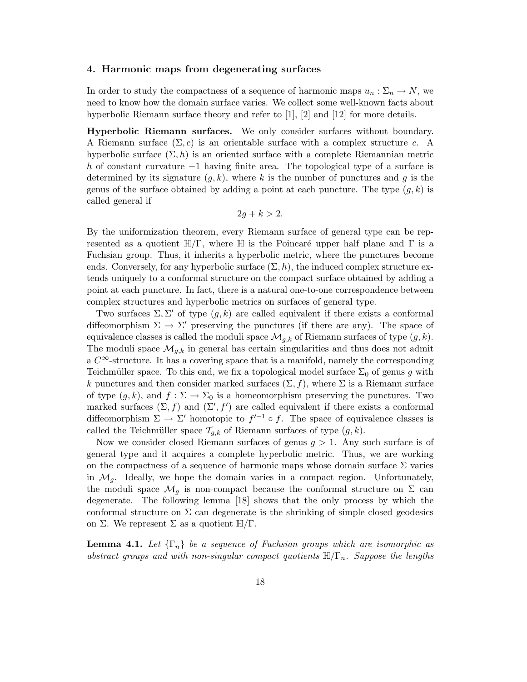#### 4. Harmonic maps from degenerating surfaces

In order to study the compactness of a sequence of harmonic maps  $u_n : \Sigma_n \to N$ , we need to know how the domain surface varies. We collect some well-known facts about hyperbolic Riemann surface theory and refer to [1], [2] and [12] for more details.

Hyperbolic Riemann surfaces. We only consider surfaces without boundary. A Riemann surface  $(\Sigma, c)$  is an orientable surface with a complex structure c. A hyperbolic surface  $(\Sigma, h)$  is an oriented surface with a complete Riemannian metric h of constant curvature −1 having finite area. The topological type of a surface is determined by its signature  $(g, k)$ , where k is the number of punctures and g is the genus of the surface obtained by adding a point at each puncture. The type  $(g, k)$  is called general if

$$
2g + k > 2.
$$

By the uniformization theorem, every Riemann surface of general type can be represented as a quotient  $\mathbb{H}/\Gamma$ , where  $\mathbb{H}$  is the Poincaré upper half plane and  $\Gamma$  is a Fuchsian group. Thus, it inherits a hyperbolic metric, where the punctures become ends. Conversely, for any hyperbolic surface  $(\Sigma, h)$ , the induced complex structure extends uniquely to a conformal structure on the compact surface obtained by adding a point at each puncture. In fact, there is a natural one-to-one correspondence between complex structures and hyperbolic metrics on surfaces of general type.

Two surfaces  $\Sigma, \Sigma'$  of type  $(g, k)$  are called equivalent if there exists a conformal diffeomorphism  $\Sigma \to \Sigma'$  preserving the punctures (if there are any). The space of equivalence classes is called the moduli space  $\mathcal{M}_{q,k}$  of Riemann surfaces of type  $(q, k)$ . The moduli space  $\mathcal{M}_{q,k}$  in general has certain singularities and thus does not admit a  $C^{\infty}$ -structure. It has a covering space that is a manifold, namely the corresponding Teichmüller space. To this end, we fix a topological model surface  $\Sigma_0$  of genus g with k punctures and then consider marked surfaces  $(\Sigma, f)$ , where  $\Sigma$  is a Riemann surface of type  $(g, k)$ , and  $f : \Sigma \to \Sigma_0$  is a homeomorphism preserving the punctures. Two marked surfaces  $(\Sigma, f)$  and  $(\Sigma', f')$  are called equivalent if there exists a conformal diffeomorphism  $\Sigma \to \Sigma'$  homotopic to  $f'^{-1} \circ f$ . The space of equivalence classes is called the Teichmüller space  $\mathcal{T}_{g,k}$  of Riemann surfaces of type  $(g, k)$ .

Now we consider closed Riemann surfaces of genus  $q > 1$ . Any such surface is of general type and it acquires a complete hyperbolic metric. Thus, we are working on the compactness of a sequence of harmonic maps whose domain surface  $\Sigma$  varies in  $\mathcal{M}_q$ . Ideally, we hope the domain varies in a compact region. Unfortunately, the moduli space  $\mathcal{M}_q$  is non-compact because the conformal structure on  $\Sigma$  can degenerate. The following lemma [18] shows that the only process by which the conformal structure on  $\Sigma$  can degenerate is the shrinking of simple closed geodesics on Σ. We represent Σ as a quotient  $\mathbb{H}/\Gamma$ .

**Lemma 4.1.** Let  $\{\Gamma_n\}$  be a sequence of Fuchsian groups which are isomorphic as abstract groups and with non-singular compact quotients  $\mathbb{H}/\Gamma_n$ . Suppose the lengths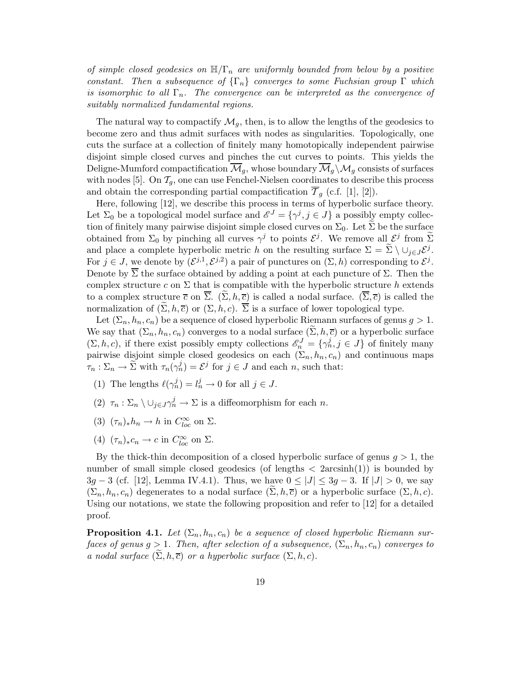of simple closed geodesics on  $\mathbb{H}/\Gamma_n$  are uniformly bounded from below by a positive constant. Then a subsequence of  $\{\Gamma_n\}$  converges to some Fuchsian group  $\Gamma$  which is isomorphic to all  $\Gamma_n$ . The convergence can be interpreted as the convergence of suitably normalized fundamental regions.

The natural way to compactify  $\mathcal{M}_g$ , then, is to allow the lengths of the geodesics to become zero and thus admit surfaces with nodes as singularities. Topologically, one cuts the surface at a collection of finitely many homotopically independent pairwise disjoint simple closed curves and pinches the cut curves to points. This yields the Deligne-Mumford compactification  $\overline{\mathcal{M}}_g$ , whose boundary  $\overline{\mathcal{M}}_g \backslash \mathcal{M}_g$  consists of surfaces with nodes [5]. On  $\mathcal{T}_g$ , one can use Fenchel-Nielsen coordinates to describe this process and obtain the corresponding partial compactification  $\mathcal{T}_q$  (c.f. [1], [2]).

Here, following [12], we describe this process in terms of hyperbolic surface theory. Let  $\Sigma_0$  be a topological model surface and  $\mathscr{E}^J = \{ \gamma^j, j \in J \}$  a possibly empty collection of finitely many pairwise disjoint simple closed curves on  $\Sigma_0$ . Let  $\Sigma$  be the surface obtained from  $\Sigma_0$  by pinching all curves  $\gamma^j$  to points  $\mathcal{E}^j$ . We remove all  $\mathcal{E}^j$  from  $\widetilde{\Sigma}$ and place a complete hyperbolic metric h on the resulting surface  $\Sigma = \widetilde{\Sigma} \setminus \cup_{j \in J} \mathcal{E}^j$ . For  $j \in J$ , we denote by  $(\mathcal{E}^{j,1}, \mathcal{E}^{j,2})$  a pair of punctures on  $(\Sigma, h)$  corresponding to  $\mathcal{E}^j$ . Denote by  $\overline{\Sigma}$  the surface obtained by adding a point at each puncture of  $\Sigma$ . Then the complex structure c on  $\Sigma$  that is compatible with the hyperbolic structure h extends to a complex structure  $\overline{c}$  on  $\overline{\Sigma}$ .  $(\Sigma, h, \overline{c})$  is called a nodal surface.  $(\overline{\Sigma}, \overline{c})$  is called the normalization of  $(\Sigma, h, \overline{c})$  or  $(\Sigma, h, c)$ .  $\Sigma$  is a surface of lower topological type.

Let  $(\Sigma_n, h_n, c_n)$  be a sequence of closed hyperbolic Riemann surfaces of genus  $q > 1$ . We say that  $(\Sigma_n, h_n, c_n)$  converges to a nodal surface  $(\widetilde{\Sigma}, h, \overline{c})$  or a hyperbolic surface  $(\Sigma, h, c)$ , if there exist possibly empty collections  $\mathscr{E}_n^J = \{\gamma_n^j, j \in J\}$  of finitely many pairwise disjoint simple closed geodesics on each  $(\Sigma_n, h_n, c_n)$  and continuous maps  $\tau_n : \Sigma_n \to \widetilde{\Sigma}$  with  $\tau_n(\gamma_n^j) = \mathcal{E}^j$  for  $j \in J$  and each n, such that:

- (1) The lengths  $\ell(\gamma_n^j) = l_n^j \to 0$  for all  $j \in J$ .
- (2)  $\tau_n : \Sigma_n \setminus \bigcup_{j \in J} \gamma_n^j \to \Sigma$  is a diffeomorphism for each n.
- (3)  $(\tau_n)_* h_n \to h$  in  $C_{loc}^{\infty}$  on  $\Sigma$ .
- (4)  $(\tau_n)_* c_n \to c$  in  $C_{loc}^{\infty}$  on  $\Sigma$ .

By the thick-thin decomposition of a closed hyperbolic surface of genus  $q > 1$ , the number of small simple closed geodesics (of lengths  $\langle$  2arcsinh(1)) is bounded by  $3g - 3$  (cf. [12], Lemma IV.4.1). Thus, we have  $0 \le |J| \le 3g - 3$ . If  $|J| > 0$ , we say  $(\Sigma_n, h_n, c_n)$  degenerates to a nodal surface  $(\Sigma, h, \overline{c})$  or a hyperbolic surface  $(\Sigma, h, c)$ . Using our notations, we state the following proposition and refer to [12] for a detailed proof.

**Proposition 4.1.** Let  $(\Sigma_n, h_n, c_n)$  be a sequence of closed hyperbolic Riemann surfaces of genus g > 1. Then, after selection of a subsequence,  $(\Sigma_n, h_n, c_n)$  converges to a nodal surface  $(\Sigma, h, \overline{c})$  or a hyperbolic surface  $(\Sigma, h, c)$ .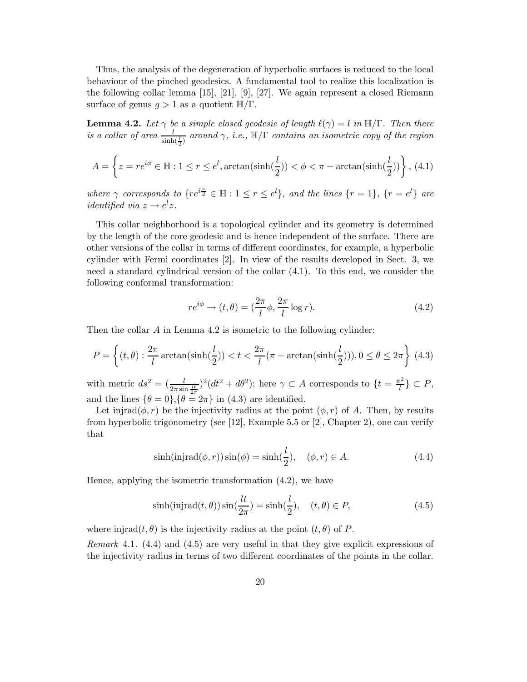Thus, the analysis of the degeneration of hyperbolic surfaces is reduced to the local behaviour of the pinched geodesics. A fundamental tool to realize this localization is the following collar lemma [15], [21], [9], [27]. We again represent a closed Riemann surface of genus  $q > 1$  as a quotient  $\mathbb{H}/\Gamma$ .

**Lemma 4.2.** Let  $\gamma$  be a simple closed geodesic of length  $\ell(\gamma) = l$  in  $\mathbb{H}/\Gamma$ . Then there is a collar of area  $\frac{l}{\sinh(\frac{l}{2})}$  around  $\gamma$ , i.e.,  $\mathbb{H}/\Gamma$  contains an isometric copy of the region

$$
A = \left\{ z = re^{i\phi} \in \mathbb{H} : 1 \le r \le e^l, \arctan(\sinh(\frac{l}{2})) < \phi < \pi - \arctan(\sinh(\frac{l}{2})) \right\}, \tag{4.1}
$$

where  $\gamma$  corresponds to  $\{re^{i\frac{\pi}{2}} \in \mathbb{H} : 1 \leq r \leq e^l\}$ , and the lines  $\{r = 1\}$ ,  $\{r = e^l\}$  are *identified via*  $z \rightarrow e^l z$ .

This collar neighborhood is a topological cylinder and its geometry is determined by the length of the core geodesic and is hence independent of the surface. There are other versions of the collar in terms of different coordinates, for example, a hyperbolic cylinder with Fermi coordinates [2]. In view of the results developed in Sect. 3, we need a standard cylindrical version of the collar (4.1). To this end, we consider the following conformal transformation:

$$
re^{i\phi} \rightarrow (t, \theta) = \left(\frac{2\pi}{l}\phi, \frac{2\pi}{l}\log r\right).
$$
 (4.2)

Then the collar A in Lemma 4.2 is isometric to the following cylinder:

$$
P = \left\{ (t, \theta) : \frac{2\pi}{l} \arctan(\sinh(\frac{l}{2})) < t < \frac{2\pi}{l} (\pi - \arctan(\sinh(\frac{l}{2}))), 0 \le \theta \le 2\pi \right\} \tag{4.3}
$$

with metric  $ds^2 = \left(\frac{l}{2\pi \sin \frac{lt}{2\pi}}\right)^2 (dt^2 + d\theta^2)$ ; here  $\gamma \subset A$  corresponds to  $\{t = \frac{\pi^2}{l}\}$  $\left\{ \frac{r}{l} \right\} \subset P,$ and the lines  $\{\theta = 0\}, \{\theta = 2\pi\}$  in (4.3) are identified.

Let injrad $(\phi, r)$  be the injectivity radius at the point  $(\phi, r)$  of A. Then, by results from hyperbolic trigonometry (see [12], Example 5.5 or [2], Chapter 2), one can verify that

$$
\sinh(\text{injrad}(\phi, r))\sin(\phi) = \sinh(\frac{l}{2}), \quad (\phi, r) \in A. \tag{4.4}
$$

Hence, applying the isometric transformation (4.2), we have

$$
\sinh(\text{injrad}(t,\theta))\sin(\frac{lt}{2\pi}) = \sinh(\frac{l}{2}), \quad (t,\theta) \in P,\tag{4.5}
$$

where injrad $(t, \theta)$  is the injectivity radius at the point  $(t, \theta)$  of P.

Remark 4.1. (4.4) and (4.5) are very useful in that they give explicit expressions of the injectivity radius in terms of two different coordinates of the points in the collar.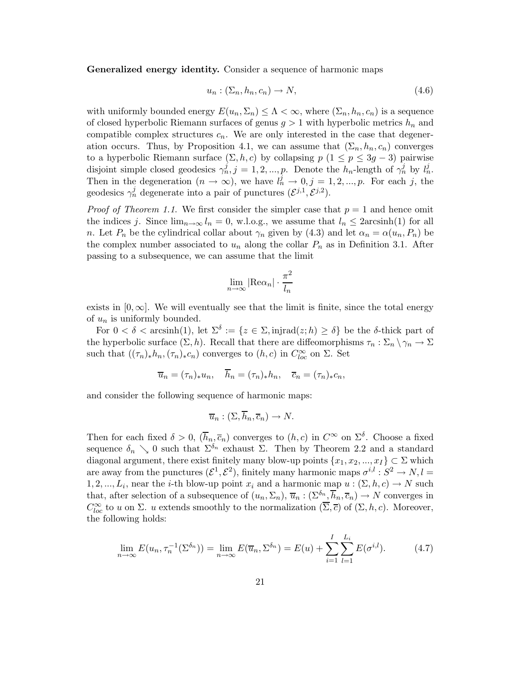Generalized energy identity. Consider a sequence of harmonic maps

$$
u_n : (\Sigma_n, h_n, c_n) \to N,
$$
\n<sup>(4.6)</sup>

with uniformly bounded energy  $E(u_n, \Sigma_n) \leq \Lambda < \infty$ , where  $(\Sigma_n, h_n, c_n)$  is a sequence of closed hyperbolic Riemann surfaces of genus  $g > 1$  with hyperbolic metrics  $h_n$  and compatible complex structures  $c_n$ . We are only interested in the case that degeneration occurs. Thus, by Proposition 4.1, we can assume that  $(\Sigma_n, h_n, c_n)$  converges to a hyperbolic Riemann surface  $(\Sigma, h, c)$  by collapsing  $p$   $(1 \leq p \leq 3g - 3)$  pairwise disjoint simple closed geodesics  $\gamma_n^j$ ,  $j = 1, 2, ..., p$ . Denote the  $h_n$ -length of  $\gamma_n^j$  by  $l_n^j$ . Then in the degeneration  $(n \to \infty)$ , we have  $l_n^j \to 0, j = 1, 2, ..., p$ . For each j, the geodesics  $\gamma_n^j$  degenerate into a pair of punctures  $(\mathcal{E}^{j,1}, \mathcal{E}^{j,2})$ .

*Proof of Theorem 1.1.* We first consider the simpler case that  $p = 1$  and hence omit the indices j. Since  $\lim_{n\to\infty} l_n = 0$ , w.l.o.g., we assume that  $l_n \leq 2arcsinh(1)$  for all n. Let  $P_n$  be the cylindrical collar about  $\gamma_n$  given by (4.3) and let  $\alpha_n = \alpha(u_n, P_n)$  be the complex number associated to  $u_n$  along the collar  $P_n$  as in Definition 3.1. After passing to a subsequence, we can assume that the limit

$$
\lim_{n \to \infty} |\text{Re}\alpha_n| \cdot \frac{\pi^2}{l_n}
$$

exists in  $[0, \infty]$ . We will eventually see that the limit is finite, since the total energy of  $u_n$  is uniformly bounded.

For  $0 < \delta <$  arcsinh(1), let  $\Sigma^{\delta} := \{z \in \Sigma, \text{injrad}(z; h) \geq \delta\}$  be the  $\delta$ -thick part of the hyperbolic surface  $(\Sigma, h)$ . Recall that there are diffeomorphisms  $\tau_n : \Sigma_n \setminus \gamma_n \to \Sigma$ such that  $((\tau_n)_* h_n, (\tau_n)_* c_n)$  converges to  $(h, c)$  in  $C_{loc}^{\infty}$  on  $\Sigma$ . Set

$$
\overline{u}_n = (\tau_n)_* u_n, \quad h_n = (\tau_n)_* h_n, \quad \overline{c}_n = (\tau_n)_* c_n,
$$

and consider the following sequence of harmonic maps:

$$
\overline{u}_n : (\Sigma, \overline{h}_n, \overline{c}_n) \to N.
$$

Then for each fixed  $\delta > 0$ ,  $(\overline{h}_n, \overline{c}_n)$  converges to  $(h, c)$  in  $C^{\infty}$  on  $\Sigma^{\delta}$ . Choose a fixed sequence  $\delta_n \searrow 0$  such that  $\Sigma^{\delta_n}$  exhaust  $\Sigma$ . Then by Theorem 2.2 and a standard diagonal argument, there exist finitely many blow-up points  $\{x_1, x_2, ..., x_I\} \subset \Sigma$  which are away from the punctures  $(\mathcal{E}^1, \mathcal{E}^2)$ , finitely many harmonic maps  $\sigma^{i,l}: S^2 \to N, l =$ 1, 2, ...,  $L_i$ , near the *i*-th blow-up point  $x_i$  and a harmonic map  $u : (\Sigma, h, c) \to N$  such that, after selection of a subsequence of  $(u_n, \Sigma_n)$ ,  $\overline{u}_n : (\Sigma^{\delta_n}, \overline{h}_n, \overline{c}_n) \to N$  converges in  $C_{loc}^{\infty}$  to u on  $\Sigma$ . u extends smoothly to the normalization  $(\overline{\Sigma}, \overline{c})$  of  $(\Sigma, h, c)$ . Moreover, the following holds:

$$
\lim_{n \to \infty} E(u_n, \tau_n^{-1}(\Sigma^{\delta_n})) = \lim_{n \to \infty} E(\overline{u}_n, \Sigma^{\delta_n}) = E(u) + \sum_{i=1}^I \sum_{l=1}^{L_i} E(\sigma^{i,l}). \tag{4.7}
$$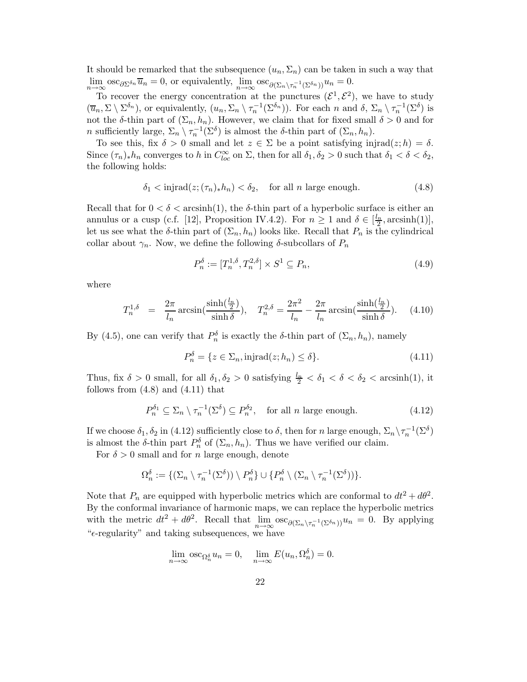It should be remarked that the subsequence  $(u_n, \Sigma_n)$  can be taken in such a way that  $\lim_{n \to \infty} \csc_{\partial \Sigma^{\delta_n}} \overline{u}_n = 0$ , or equivalently,  $\lim_{n \to \infty} \csc_{\partial(\Sigma_n \setminus \tau_n^{-1}(\Sigma^{\delta_n}))} u_n = 0$ .

To recover the energy concentration at the punctures  $({\mathcal{E}}^1, {\mathcal{E}}^2)$ , we have to study  $(\overline{u}_n, \Sigma \setminus \Sigma^{\delta_n})$ , or equivalently,  $(u_n, \Sigma_n \setminus \tau_n^{-1}(\Sigma^{\delta_n}))$ . For each n and  $\delta$ ,  $\Sigma_n \setminus \tau_n^{-1}(\Sigma^{\delta})$  is not the  $\delta$ -thin part of  $(\Sigma_n, h_n)$ . However, we claim that for fixed small  $\delta > 0$  and for *n* sufficiently large,  $\Sigma_n \setminus \tau_n^{-1}(\Sigma^{\delta})$  is almost the  $\delta$ -thin part of  $(\Sigma_n, h_n)$ .

To see this, fix  $\delta > 0$  small and let  $z \in \Sigma$  be a point satisfying injrad $(z; h) = \delta$ . Since  $(\tau_n)_* h_n$  converges to h in  $C^{\infty}_{loc}$  on  $\Sigma$ , then for all  $\delta_1, \delta_2 > 0$  such that  $\delta_1 < \delta < \delta_2$ , the following holds:

$$
\delta_1 < \text{injrad}(z; (\tau_n)_* h_n) < \delta_2, \quad \text{for all } n \text{ large enough.} \tag{4.8}
$$

Recall that for  $0 < \delta <$  arcsinh(1), the  $\delta$ -thin part of a hyperbolic surface is either an annulus or a cusp (c.f. [12], Proposition IV.4.2). For  $n \ge 1$  and  $\delta \in [\frac{l_n}{2}, \arcsinh(1)],$ let us see what the δ-thin part of  $(\Sigma_n, h_n)$  looks like. Recall that  $P_n$  is the cylindrical collar about  $\gamma_n$ . Now, we define the following  $\delta$ -subcollars of  $P_n$ 

$$
P_n^{\delta} := [T_n^{1,\delta}, T_n^{2,\delta}] \times S^1 \subseteq P_n,
$$
\n
$$
(4.9)
$$

where

$$
T_n^{1,\delta} = \frac{2\pi}{l_n} \arcsin\left(\frac{\sinh(\frac{l_n}{2})}{\sinh \delta}\right), \quad T_n^{2,\delta} = \frac{2\pi^2}{l_n} - \frac{2\pi}{l_n} \arcsin\left(\frac{\sinh(\frac{l_n}{2})}{\sinh \delta}\right). \tag{4.10}
$$

By (4.5), one can verify that  $P_n^{\delta}$  is exactly the  $\delta$ -thin part of  $(\Sigma_n, h_n)$ , namely

$$
P_n^{\delta} = \{ z \in \Sigma_n, \text{injrad}(z; h_n) \le \delta \}. \tag{4.11}
$$

Thus, fix  $\delta > 0$  small, for all  $\delta_1, \delta_2 > 0$  satisfying  $\frac{l_n}{2} < \delta_1 < \delta < \delta_2 < \text{arcsinh}(1)$ , it follows from  $(4.8)$  and  $(4.11)$  that

$$
P_n^{\delta_1} \subseteq \Sigma_n \setminus \tau_n^{-1}(\Sigma^{\delta}) \subseteq P_n^{\delta_2}, \quad \text{for all } n \text{ large enough.} \tag{4.12}
$$

If we choose  $\delta_1, \delta_2$  in (4.12) sufficiently close to  $\delta$ , then for n large enough,  $\Sigma_n \setminus \tau_n^{-1}(\Sigma^{\delta})$ is almost the  $\delta$ -thin part  $P_n^{\delta}$  of  $(\Sigma_n, h_n)$ . Thus we have verified our claim.

For  $\delta > 0$  small and for n large enough, denote

$$
\Omega_n^{\delta} := \{ (\Sigma_n \setminus \tau_n^{-1}(\Sigma^{\delta})) \setminus P_n^{\delta} \} \cup \{ P_n^{\delta} \setminus (\Sigma_n \setminus \tau_n^{-1}(\Sigma^{\delta})) \}.
$$

Note that  $P_n$  are equipped with hyperbolic metrics which are conformal to  $dt^2 + d\theta^2$ . By the conformal invariance of harmonic maps, we can replace the hyperbolic metrics with the metric  $dt^2 + d\theta^2$ . Recall that  $\lim_{n \to \infty} \csc_{\partial(\Sigma_n \setminus \tau_n^{-1}(\Sigma^{\delta_n}))} u_n = 0$ . By applying " $\epsilon$ -regularity" and taking subsequences, we have

$$
\lim_{n \to \infty} \csc_{\Omega_n^{\delta}} u_n = 0, \quad \lim_{n \to \infty} E(u_n, \Omega_n^{\delta}) = 0.
$$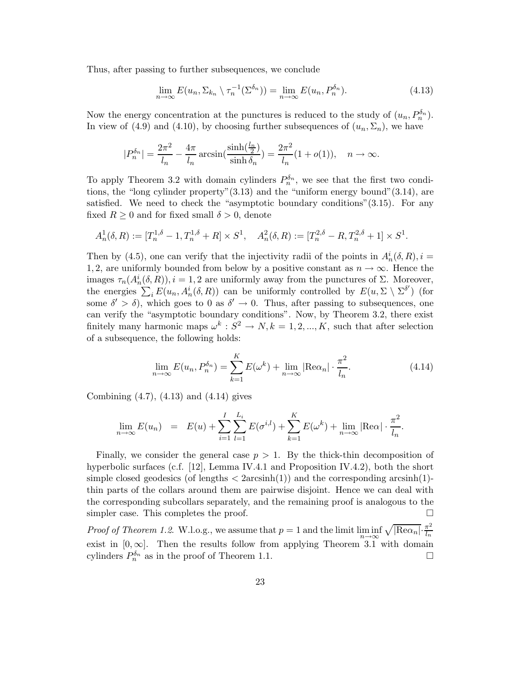Thus, after passing to further subsequences, we conclude

$$
\lim_{n \to \infty} E(u_n, \Sigma_{k_n} \setminus \tau_n^{-1}(\Sigma^{\delta_n})) = \lim_{n \to \infty} E(u_n, P_n^{\delta_n}). \tag{4.13}
$$

Now the energy concentration at the punctures is reduced to the study of  $(u_n, P_n^{\delta_n})$ . In view of (4.9) and (4.10), by choosing further subsequences of  $(u_n, \Sigma_n)$ , we have

$$
|P_n^{\delta_n}| = \frac{2\pi^2}{l_n} - \frac{4\pi}{l_n} \arcsin(\frac{\sinh(\frac{l_n}{2})}{\sinh \delta_n}) = \frac{2\pi^2}{l_n} (1 + o(1)), \quad n \to \infty.
$$

To apply Theorem 3.2 with domain cylinders  $P_n^{\delta_n}$ , we see that the first two conditions, the "long cylinder property"(3.13) and the "uniform energy bound"(3.14), are satisfied. We need to check the "asymptotic boundary conditions"(3.15). For any fixed  $R \geq 0$  and for fixed small  $\delta > 0$ , denote

$$
A_n^1(\delta, R) := [T_n^{1,\delta} - 1, T_n^{1,\delta} + R] \times S^1, \quad A_n^2(\delta, R) := [T_n^{2,\delta} - R, T_n^{2,\delta} + 1] \times S^1.
$$

Then by (4.5), one can verify that the injectivity radii of the points in  $A_n^i(\delta, R)$ ,  $i =$ 1, 2, are uniformly bounded from below by a positive constant as  $n \to \infty$ . Hence the images  $\tau_n(A_n^i(\delta, R)), i = 1, 2$  are uniformly away from the punctures of  $\Sigma$ . Moreover, the energies  $\sum_i E(u_n, A_n^i(\delta, R))$  can be uniformly controlled by  $E(u, \Sigma \setminus \Sigma^{\delta'})$  (for some  $\delta' > \delta$ , which goes to 0 as  $\delta' \to 0$ . Thus, after passing to subsequences, one can verify the "asymptotic boundary conditions". Now, by Theorem 3.2, there exist finitely many harmonic maps  $\omega^k$ :  $S^2 \to N, k = 1, 2, ..., K$ , such that after selection of a subsequence, the following holds:

$$
\lim_{n \to \infty} E(u_n, P_n^{\delta_n}) = \sum_{k=1}^K E(\omega^k) + \lim_{n \to \infty} |\text{Re}\alpha_n| \cdot \frac{\pi^2}{l_n}.
$$
\n(4.14)

Combining (4.7), (4.13) and (4.14) gives

$$
\lim_{n \to \infty} E(u_n) = E(u) + \sum_{i=1}^{I} \sum_{l=1}^{L_i} E(\sigma^{i,l}) + \sum_{k=1}^{K} E(\omega^k) + \lim_{n \to \infty} |\text{Re}\alpha| \cdot \frac{\pi^2}{l_n}.
$$

Finally, we consider the general case  $p > 1$ . By the thick-thin decomposition of hyperbolic surfaces (c.f. [12], Lemma IV.4.1 and Proposition IV.4.2), both the short simple closed geodesics (of lengths  $\langle$  2arcsinh(1)) and the corresponding arcsinh(1)thin parts of the collars around them are pairwise disjoint. Hence we can deal with the corresponding subcollars separately, and the remaining proof is analogous to the simpler case. This completes the proof.  $\Box$ 

*Proof of Theorem 1.2.* W.l.o.g., we assume that  $p = 1$  and the limit  $\liminf_{n \to \infty} \sqrt{|\text{Re}\alpha_n|} \cdot \frac{\pi^2}{l_n}$ n→∞  $l_n$ exist in  $[0, \infty]$ . Then the results follow from applying Theorem 3.1 with domain cylinders  $P_n^{\delta_n}$  as in the proof of Theorem 1.1.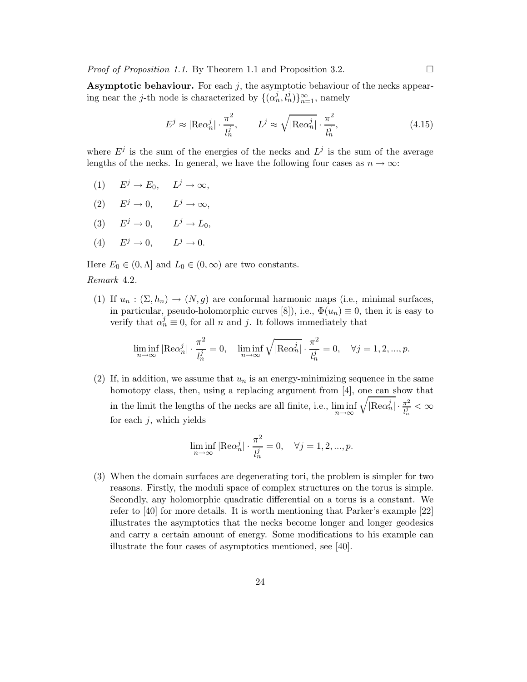*Proof of Proposition 1.1.* By Theorem 1.1 and Proposition 3.2.  $\Box$ 

**Asymptotic behaviour.** For each  $j$ , the asymptotic behaviour of the necks appearing near the *j*-th node is characterized by  $\{(\alpha_n^j, l_n^j)\}_{n=1}^{\infty}$ , namely

$$
E^j \approx |\text{Re}\alpha_n^j| \cdot \frac{\pi^2}{l_n^j}, \qquad L^j \approx \sqrt{|\text{Re}\alpha_n^j|} \cdot \frac{\pi^2}{l_n^j}, \tag{4.15}
$$

where  $E^j$  is the sum of the energies of the necks and  $L^j$  is the sum of the average lengths of the necks. In general, we have the following four cases as  $n \to \infty$ :

- (1)  $E^j \to E_0$ ,  $L^j \to \infty$ ,
- (2)  $E^j \to 0$ ,  $L^j \to \infty$ ,
- (3)  $E^j \rightarrow 0$ ,  $L^j \rightarrow L_0$ ,
- (4)  $E^j \rightarrow 0$ ,  $L^j \rightarrow 0$ .

Here  $E_0 \in (0, \Lambda]$  and  $L_0 \in (0, \infty)$  are two constants. Remark 4.2.

(1) If  $u_n : (\Sigma, h_n) \to (N, g)$  are conformal harmonic maps (i.e., minimal surfaces, in particular, pseudo-holomorphic curves [8]), i.e.,  $\Phi(u_n) \equiv 0$ , then it is easy to verify that  $\alpha_n^j \equiv 0$ , for all n and j. It follows immediately that

$$
\liminf_{n \to \infty} |\text{Re}\alpha_n^j| \cdot \frac{\pi^2}{l_n^j} = 0, \quad \liminf_{n \to \infty} \sqrt{|\text{Re}\alpha_n^j|} \cdot \frac{\pi^2}{l_n^j} = 0, \quad \forall j = 1, 2, ..., p.
$$

(2) If, in addition, we assume that  $u_n$  is an energy-minimizing sequence in the same homotopy class, then, using a replacing argument from [4], one can show that in the limit the lengths of the necks are all finite, i.e.,  $\liminf_{n\to\infty}$  $\sqrt{\left|\text{Re}\alpha_n^j\right|}\cdot \frac{\pi^2}{l_n^j}$  $\frac{\pi^2}{l_n^j}<\infty$ for each  $j$ , which yields

$$
\liminf_{n \to \infty} |\text{Re}\alpha_n^j| \cdot \frac{\pi^2}{l_n^j} = 0, \quad \forall j = 1, 2, ..., p.
$$

(3) When the domain surfaces are degenerating tori, the problem is simpler for two reasons. Firstly, the moduli space of complex structures on the torus is simple. Secondly, any holomorphic quadratic differential on a torus is a constant. We refer to [40] for more details. It is worth mentioning that Parker's example [22] illustrates the asymptotics that the necks become longer and longer geodesics and carry a certain amount of energy. Some modifications to his example can illustrate the four cases of asymptotics mentioned, see [40].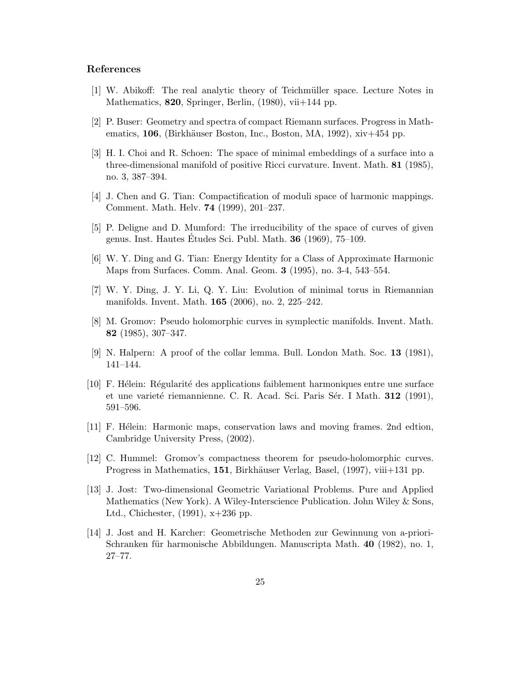### References

- [1] W. Abikoff: The real analytic theory of Teichmüller space. Lecture Notes in Mathematics,  $820$ , Springer, Berlin,  $(1980)$ , vii $+144$  pp.
- [2] P. Buser: Geometry and spectra of compact Riemann surfaces. Progress in Mathematics,  $106$ , (Birkhäuser Boston, Inc., Boston, MA, 1992), xiv $+454$  pp.
- [3] H. I. Choi and R. Schoen: The space of minimal embeddings of a surface into a three-dimensional manifold of positive Ricci curvature. Invent. Math. 81 (1985), no. 3, 387–394.
- [4] J. Chen and G. Tian: Compactification of moduli space of harmonic mappings. Comment. Math. Helv. 74 (1999), 201–237.
- [5] P. Deligne and D. Mumford: The irreducibility of the space of curves of given genus. Inst. Hautes Etudes Sci. Publ. Math.  $36$  (1969),  $75-109$ .
- [6] W. Y. Ding and G. Tian: Energy Identity for a Class of Approximate Harmonic Maps from Surfaces. Comm. Anal. Geom. 3 (1995), no. 3-4, 543–554.
- [7] W. Y. Ding, J. Y. Li, Q. Y. Liu: Evolution of minimal torus in Riemannian manifolds. Invent. Math. 165 (2006), no. 2, 225–242.
- [8] M. Gromov: Pseudo holomorphic curves in symplectic manifolds. Invent. Math. 82 (1985), 307–347.
- [9] N. Halpern: A proof of the collar lemma. Bull. London Math. Soc. 13 (1981), 141–144.
- [10] F. Hélein: Régularité des applications faiblement harmoniques entre une surface et une varieté riemannienne. C. R. Acad. Sci. Paris Sér. I Math. 312 (1991), 591–596.
- [11] F. Hélein: Harmonic maps, conservation laws and moving frames. 2nd edtion, Cambridge University Press, (2002).
- [12] C. Hummel: Gromov's compactness theorem for pseudo-holomorphic curves. Progress in Mathematics, 151, Birkhäuser Verlag, Basel, (1997), viii+131 pp.
- [13] J. Jost: Two-dimensional Geometric Variational Problems. Pure and Applied Mathematics (New York). A Wiley-Interscience Publication. John Wiley & Sons, Ltd., Chichester, (1991), x+236 pp.
- [14] J. Jost and H. Karcher: Geometrische Methoden zur Gewinnung von a-priori-Schranken für harmonische Abbildungen. Manuscripta Math. 40 (1982), no. 1, 27–77.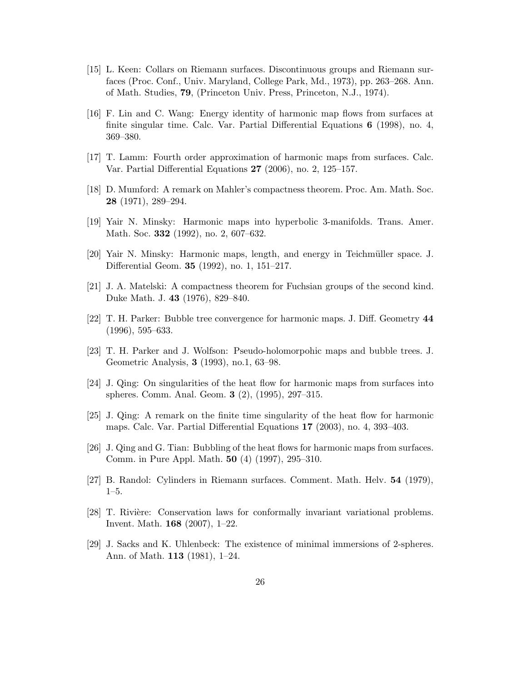- [15] L. Keen: Collars on Riemann surfaces. Discontinuous groups and Riemann surfaces (Proc. Conf., Univ. Maryland, College Park, Md., 1973), pp. 263–268. Ann. of Math. Studies, 79, (Princeton Univ. Press, Princeton, N.J., 1974).
- [16] F. Lin and C. Wang: Energy identity of harmonic map flows from surfaces at finite singular time. Calc. Var. Partial Differential Equations 6 (1998), no. 4, 369–380.
- [17] T. Lamm: Fourth order approximation of harmonic maps from surfaces. Calc. Var. Partial Differential Equations 27 (2006), no. 2, 125–157.
- [18] D. Mumford: A remark on Mahler's compactness theorem. Proc. Am. Math. Soc. 28 (1971), 289–294.
- [19] Yair N. Minsky: Harmonic maps into hyperbolic 3-manifolds. Trans. Amer. Math. Soc. 332 (1992), no. 2, 607–632.
- [20] Yair N. Minsky: Harmonic maps, length, and energy in Teichm¨uller space. J. Differential Geom. 35 (1992), no. 1, 151–217.
- [21] J. A. Matelski: A compactness theorem for Fuchsian groups of the second kind. Duke Math. J. 43 (1976), 829–840.
- [22] T. H. Parker: Bubble tree convergence for harmonic maps. J. Diff. Geometry 44 (1996), 595–633.
- [23] T. H. Parker and J. Wolfson: Pseudo-holomorpohic maps and bubble trees. J. Geometric Analysis, 3 (1993), no.1, 63–98.
- [24] J. Qing: On singularities of the heat flow for harmonic maps from surfaces into spheres. Comm. Anal. Geom. 3 (2), (1995), 297–315.
- [25] J. Qing: A remark on the finite time singularity of the heat flow for harmonic maps. Calc. Var. Partial Differential Equations 17 (2003), no. 4, 393–403.
- [26] J. Qing and G. Tian: Bubbling of the heat flows for harmonic maps from surfaces. Comm. in Pure Appl. Math. 50 (4) (1997), 295–310.
- [27] B. Randol: Cylinders in Riemann surfaces. Comment. Math. Helv. 54 (1979), 1–5.
- [28] T. Rivière: Conservation laws for conformally invariant variational problems. Invent. Math. 168 (2007), 1–22.
- [29] J. Sacks and K. Uhlenbeck: The existence of minimal immersions of 2-spheres. Ann. of Math. 113 (1981), 1–24.